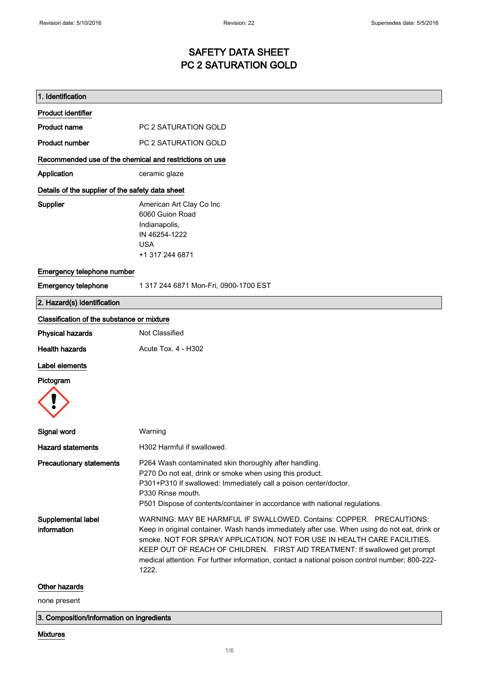# SAFETY DATA SHEET PC 2 SATURATION GOLD

| 1. Identification                                       |                                                                                                                                                                                                                                                                                                                                                                                                                                             |
|---------------------------------------------------------|---------------------------------------------------------------------------------------------------------------------------------------------------------------------------------------------------------------------------------------------------------------------------------------------------------------------------------------------------------------------------------------------------------------------------------------------|
| <b>Product identifier</b>                               |                                                                                                                                                                                                                                                                                                                                                                                                                                             |
| Product name                                            | PC 2 SATURATION GOLD                                                                                                                                                                                                                                                                                                                                                                                                                        |
| <b>Product number</b>                                   | PC 2 SATURATION GOLD                                                                                                                                                                                                                                                                                                                                                                                                                        |
| Recommended use of the chemical and restrictions on use |                                                                                                                                                                                                                                                                                                                                                                                                                                             |
| Application                                             | ceramic glaze                                                                                                                                                                                                                                                                                                                                                                                                                               |
| Details of the supplier of the safety data sheet        |                                                                                                                                                                                                                                                                                                                                                                                                                                             |
| Supplier                                                | American Art Clay Co Inc<br>6060 Guion Road<br>Indianapolis,<br>IN 46254-1222<br><b>USA</b><br>+1 317 244 6871                                                                                                                                                                                                                                                                                                                              |
| Emergency telephone number                              |                                                                                                                                                                                                                                                                                                                                                                                                                                             |
| <b>Emergency telephone</b>                              | 1 317 244 6871 Mon-Fri, 0900-1700 EST                                                                                                                                                                                                                                                                                                                                                                                                       |
| 2. Hazard(s) identification                             |                                                                                                                                                                                                                                                                                                                                                                                                                                             |
| Classification of the substance or mixture              |                                                                                                                                                                                                                                                                                                                                                                                                                                             |
| <b>Physical hazards</b>                                 | Not Classified                                                                                                                                                                                                                                                                                                                                                                                                                              |
| <b>Health hazards</b>                                   | Acute Tox. 4 - H302                                                                                                                                                                                                                                                                                                                                                                                                                         |
| Label elements                                          |                                                                                                                                                                                                                                                                                                                                                                                                                                             |
| Pictogram                                               |                                                                                                                                                                                                                                                                                                                                                                                                                                             |
|                                                         |                                                                                                                                                                                                                                                                                                                                                                                                                                             |
| Signal word                                             | Warning                                                                                                                                                                                                                                                                                                                                                                                                                                     |
| Hazard statements                                       | H302 Harmful if swallowed                                                                                                                                                                                                                                                                                                                                                                                                                   |
| <b>Precautionary statements</b>                         | P264 Wash contaminated skin thoroughly after handling.<br>P270 Do not eat, drink or smoke when using this product.<br>P301+P310 If swallowed: Immediately call a poison center/doctor.<br>P330 Rinse mouth.<br>P501 Dispose of contents/container in accordance with national regulations.                                                                                                                                                  |
| Supplemental label<br>information                       | WARNING: MAY BE HARMFUL IF SWALLOWED, Contains: COPPER. PRECAUTIONS:<br>Keep in original container. Wash hands immediately after use. When using do not eat, drink or<br>smoke. NOT FOR SPRAY APPLICATION. NOT FOR USE IN HEALTH CARE FACILITIES.<br>KEEP OUT OF REACH OF CHILDREN. FIRST AID TREATMENT: If swallowed get prompt<br>medical attention. For further information, contact a national poison control number; 800-222-<br>1222. |
| Other hazards<br>none present                           |                                                                                                                                                                                                                                                                                                                                                                                                                                             |

3. Composition/information on ingredients

### Mixtures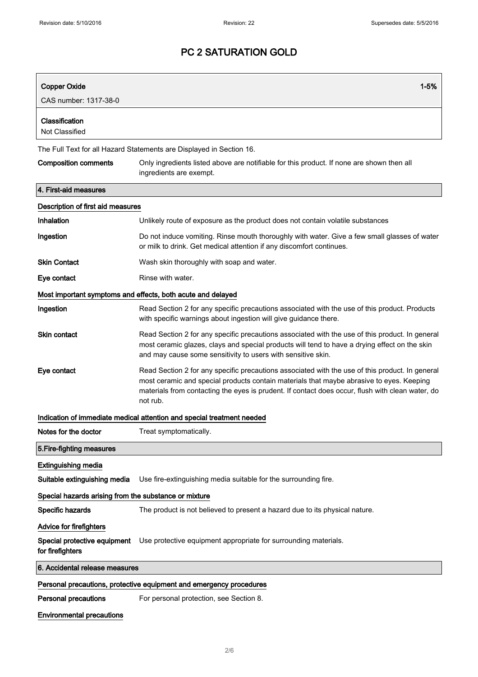| <b>Copper Oxide</b>                                   | $1 - 5%$                                                                                                                                                                                                                                                                                                    |
|-------------------------------------------------------|-------------------------------------------------------------------------------------------------------------------------------------------------------------------------------------------------------------------------------------------------------------------------------------------------------------|
| CAS number: 1317-38-0                                 |                                                                                                                                                                                                                                                                                                             |
| Classification<br>Not Classified                      |                                                                                                                                                                                                                                                                                                             |
|                                                       | The Full Text for all Hazard Statements are Displayed in Section 16.                                                                                                                                                                                                                                        |
| <b>Composition comments</b>                           | Only ingredients listed above are notifiable for this product. If none are shown then all<br>ingredients are exempt.                                                                                                                                                                                        |
| 4. First-aid measures                                 |                                                                                                                                                                                                                                                                                                             |
| Description of first aid measures                     |                                                                                                                                                                                                                                                                                                             |
| Inhalation                                            | Unlikely route of exposure as the product does not contain volatile substances                                                                                                                                                                                                                              |
| Ingestion                                             | Do not induce vomiting. Rinse mouth thoroughly with water. Give a few small glasses of water<br>or milk to drink. Get medical attention if any discomfort continues.                                                                                                                                        |
| <b>Skin Contact</b>                                   | Wash skin thoroughly with soap and water.                                                                                                                                                                                                                                                                   |
| Eye contact                                           | Rinse with water.                                                                                                                                                                                                                                                                                           |
|                                                       | Most important symptoms and effects, both acute and delayed                                                                                                                                                                                                                                                 |
| Ingestion                                             | Read Section 2 for any specific precautions associated with the use of this product. Products<br>with specific warnings about ingestion will give guidance there.                                                                                                                                           |
| <b>Skin contact</b>                                   | Read Section 2 for any specific precautions associated with the use of this product. In general<br>most ceramic glazes, clays and special products will tend to have a drying effect on the skin<br>and may cause some sensitivity to users with sensitive skin.                                            |
| Eye contact                                           | Read Section 2 for any specific precautions associated with the use of this product. In general<br>most ceramic and special products contain materials that maybe abrasive to eyes. Keeping<br>materials from contacting the eyes is prudent. If contact does occur, flush with clean water, do<br>not rub. |
|                                                       | Indication of immediate medical attention and special treatment needed                                                                                                                                                                                                                                      |
| NOTES TOT THE GOCTOR                                  | Treat symptomatically.                                                                                                                                                                                                                                                                                      |
| 5. Fire-fighting measures                             |                                                                                                                                                                                                                                                                                                             |
| <b>Extinguishing media</b>                            |                                                                                                                                                                                                                                                                                                             |
| Suitable extinguishing media                          | Use fire-extinguishing media suitable for the surrounding fire.                                                                                                                                                                                                                                             |
| Special hazards arising from the substance or mixture |                                                                                                                                                                                                                                                                                                             |
| Specific hazards                                      | The product is not believed to present a hazard due to its physical nature.                                                                                                                                                                                                                                 |
| Advice for firefighters                               |                                                                                                                                                                                                                                                                                                             |
| Special protective equipment<br>for firefighters      | Use protective equipment appropriate for surrounding materials.                                                                                                                                                                                                                                             |
| 6. Accidental release measures                        |                                                                                                                                                                                                                                                                                                             |
|                                                       | Personal precautions, protective equipment and emergency procedures                                                                                                                                                                                                                                         |
| <b>Personal precautions</b>                           | For personal protection, see Section 8.                                                                                                                                                                                                                                                                     |
| <b>Environmental precautions</b>                      |                                                                                                                                                                                                                                                                                                             |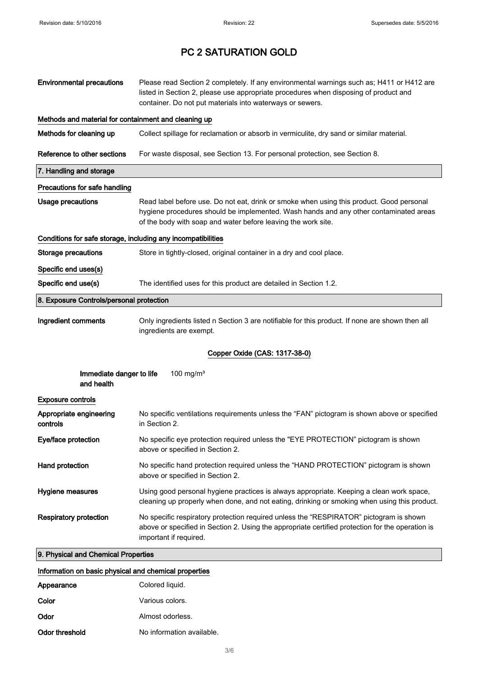| <b>Environmental precautions</b>                             | Please read Section 2 completely. If any environmental warnings such as; H411 or H412 are<br>listed in Section 2, please use appropriate procedures when disposing of product and<br>container. Do not put materials into waterways or sewers.     |  |
|--------------------------------------------------------------|----------------------------------------------------------------------------------------------------------------------------------------------------------------------------------------------------------------------------------------------------|--|
| Methods and material for containment and cleaning up         |                                                                                                                                                                                                                                                    |  |
| Methods for cleaning up                                      | Collect spillage for reclamation or absorb in vermiculite, dry sand or similar material.                                                                                                                                                           |  |
| Reference to other sections                                  | For waste disposal, see Section 13. For personal protection, see Section 8.                                                                                                                                                                        |  |
| 7. Handling and storage                                      |                                                                                                                                                                                                                                                    |  |
| Precautions for safe handling                                |                                                                                                                                                                                                                                                    |  |
| <b>Usage precautions</b>                                     | Read label before use. Do not eat, drink or smoke when using this product. Good personal<br>hygiene procedures should be implemented. Wash hands and any other contaminated areas<br>of the body with soap and water before leaving the work site. |  |
| Conditions for safe storage, including any incompatibilities |                                                                                                                                                                                                                                                    |  |
| <b>Storage precautions</b>                                   | Store in tightly-closed, original container in a dry and cool place.                                                                                                                                                                               |  |
| Specific end uses(s)                                         |                                                                                                                                                                                                                                                    |  |
| Specific end use(s)                                          | The identified uses for this product are detailed in Section 1.2.                                                                                                                                                                                  |  |
| 8. Exposure Controls/personal protection                     |                                                                                                                                                                                                                                                    |  |
| Ingredient comments                                          | Only ingredients listed n Section 3 are notifiable for this product. If none are shown then all<br>ingredients are exempt.                                                                                                                         |  |
|                                                              | Copper Oxide (CAS: 1317-38-0)                                                                                                                                                                                                                      |  |
| Immediate danger to life<br>and health                       | 100 mg/m <sup>3</sup>                                                                                                                                                                                                                              |  |
| <b>Exposure controls</b>                                     |                                                                                                                                                                                                                                                    |  |
| Appropriate engineering<br>controls                          | No specific ventilations requirements unless the "FAN" pictogram is shown above or specified<br>in Section 2.                                                                                                                                      |  |
| Eye/face protection                                          | No specific eye protection required unless the "EYE PROTECTION" pictogram is shown<br>above or specified in Section 2.                                                                                                                             |  |
| Hand protection                                              | No specific hand protection required unless the "HAND PROTECTION" pictogram is shown<br>above or specified in Section 2.                                                                                                                           |  |
| Hygiene measures                                             | Using good personal hygiene practices is always appropriate. Keeping a clean work space,<br>cleaning up properly when done, and not eating, drinking or smoking when using this product.                                                           |  |
| <b>Respiratory protection</b>                                | No specific respiratory protection required unless the "RESPIRATOR" pictogram is shown<br>above or specified in Section 2. Using the appropriate certified protection for the operation is<br>important if required.                               |  |
| 9. Physical and Chemical Properties                          |                                                                                                                                                                                                                                                    |  |
| Information on basic physical and chemical properties        |                                                                                                                                                                                                                                                    |  |

| Appearance     | Colored liquid.           |
|----------------|---------------------------|
| Color          | Various colors.           |
| Odor           | Almost odorless.          |
| Odor threshold | No information available. |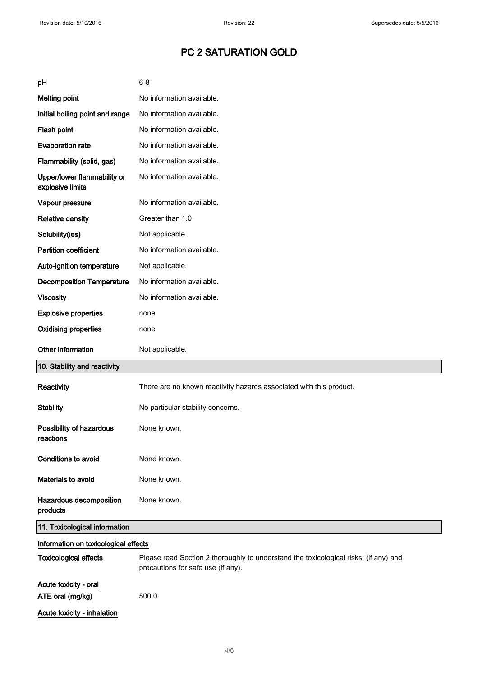| pH                                              | $6 - 8$                                                                                                                    |  |
|-------------------------------------------------|----------------------------------------------------------------------------------------------------------------------------|--|
| <b>Melting point</b>                            | No information available.                                                                                                  |  |
| Initial boiling point and range                 | No information available.                                                                                                  |  |
| Flash point                                     | No information available.                                                                                                  |  |
| <b>Evaporation rate</b>                         | No information available.                                                                                                  |  |
| Flammability (solid, gas)                       | No information available.                                                                                                  |  |
| Upper/lower flammability or<br>explosive limits | No information available.                                                                                                  |  |
| Vapour pressure                                 | No information available.                                                                                                  |  |
| <b>Relative density</b>                         | Greater than 1.0                                                                                                           |  |
| Solubility(ies)                                 | Not applicable.                                                                                                            |  |
| <b>Partition coefficient</b>                    | No information available.                                                                                                  |  |
| Auto-ignition temperature                       | Not applicable.                                                                                                            |  |
| <b>Decomposition Temperature</b>                | No information available.                                                                                                  |  |
| <b>Viscosity</b>                                | No information available.                                                                                                  |  |
| <b>Explosive properties</b>                     | none                                                                                                                       |  |
| <b>Oxidising properties</b>                     | none                                                                                                                       |  |
| Other information                               | Not applicable.                                                                                                            |  |
| 10. Stability and reactivity                    |                                                                                                                            |  |
| Reactivity                                      | There are no known reactivity hazards associated with this product.                                                        |  |
| <b>Stability</b>                                | No particular stability concerns.                                                                                          |  |
| Possibility of hazardous<br>reactions           | None known.                                                                                                                |  |
| Conditions to avoid                             | None known.                                                                                                                |  |
| Materials to avoid                              | None known.                                                                                                                |  |
| Hazardous decomposition<br>products             | None known.                                                                                                                |  |
| 11. Toxicological information                   |                                                                                                                            |  |
| Information on toxicological effects            |                                                                                                                            |  |
| <b>Toxicological effects</b>                    | Please read Section 2 thoroughly to understand the toxicological risks, (if any) and<br>precautions for safe use (if any). |  |
| Acute toxicity - oral<br>ATE oral (mg/kg)       | 500.0                                                                                                                      |  |
| Acute toxicity - inhalation                     |                                                                                                                            |  |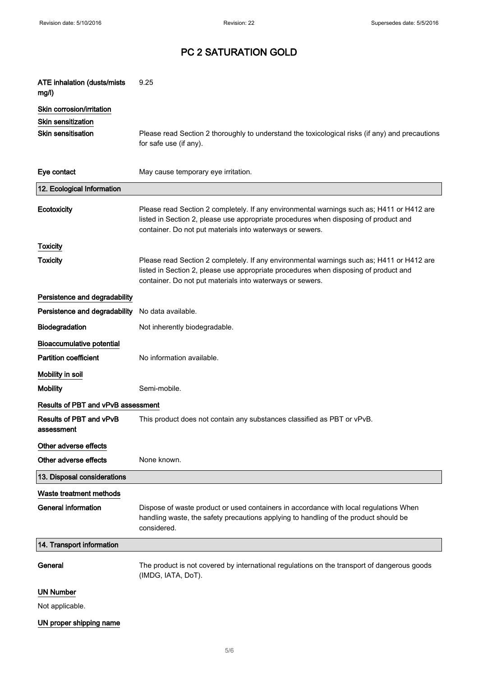| <b>ATE inhalation (dusts/mists</b><br>mg/l) | 9.25                                                                                                                                                                                                                                           |
|---------------------------------------------|------------------------------------------------------------------------------------------------------------------------------------------------------------------------------------------------------------------------------------------------|
| Skin corrosion/irritation                   |                                                                                                                                                                                                                                                |
| <b>Skin sensitization</b>                   |                                                                                                                                                                                                                                                |
| <b>Skin sensitisation</b>                   | Please read Section 2 thoroughly to understand the toxicological risks (if any) and precautions<br>for safe use (if any).                                                                                                                      |
| Eye contact                                 | May cause temporary eye irritation.                                                                                                                                                                                                            |
| 12. Ecological Information                  |                                                                                                                                                                                                                                                |
| Ecotoxicity                                 | Please read Section 2 completely. If any environmental warnings such as; H411 or H412 are<br>listed in Section 2, please use appropriate procedures when disposing of product and<br>container. Do not put materials into waterways or sewers. |
| <b>Toxicity</b>                             |                                                                                                                                                                                                                                                |
| Toxicity                                    | Please read Section 2 completely. If any environmental warnings such as; H411 or H412 are<br>listed in Section 2, please use appropriate procedures when disposing of product and<br>container. Do not put materials into waterways or sewers. |
| Persistence and degradability               |                                                                                                                                                                                                                                                |
| Persistence and degradability               | No data available.                                                                                                                                                                                                                             |
| Biodegradation                              | Not inherently biodegradable.                                                                                                                                                                                                                  |
| <b>Bioaccumulative potential</b>            |                                                                                                                                                                                                                                                |
| <b>Partition coefficient</b>                | No information available.                                                                                                                                                                                                                      |
| Mobility in soil                            |                                                                                                                                                                                                                                                |
| <b>Mobility</b>                             | Semi-mobile.                                                                                                                                                                                                                                   |
| Results of PBT and vPvB assessment          |                                                                                                                                                                                                                                                |
| Results of PBT and vPvB<br>assessment       | This product does not contain any substances classified as PBT or vPvB.                                                                                                                                                                        |
| Other adverse effects                       |                                                                                                                                                                                                                                                |
| Other adverse effects                       | None known.                                                                                                                                                                                                                                    |
| 13. Disposal considerations                 |                                                                                                                                                                                                                                                |
| Waste treatment methods                     |                                                                                                                                                                                                                                                |
| <b>General information</b>                  | Dispose of waste product or used containers in accordance with local regulations When<br>handling waste, the safety precautions applying to handling of the product should be<br>considered.                                                   |
| 14. Transport information                   |                                                                                                                                                                                                                                                |
| General                                     | The product is not covered by international regulations on the transport of dangerous goods<br>(IMDG, IATA, DoT).                                                                                                                              |
| <b>UN Number</b>                            |                                                                                                                                                                                                                                                |
| Not applicable.                             |                                                                                                                                                                                                                                                |

# UN proper shipping name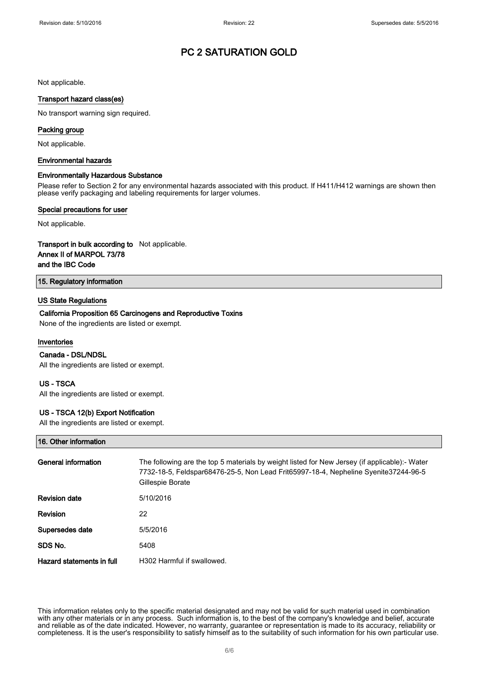Not applicable.

#### Transport hazard class(es)

No transport warning sign required.

#### Packing group

Not applicable.

#### Environmental hazards

#### Environmentally Hazardous Substance

Please refer to Section 2 for any environmental hazards associated with this product. If H411/H412 warnings are shown then please verify packaging and labeling requirements for larger volumes.

#### Special precautions for user

Not applicable.

# Transport in bulk according to Not applicable. Annex II of MARPOL 73/78

and the IBC Code

### 15. Regulatory information

### US State Regulations

### California Proposition 65 Carcinogens and Reproductive Toxins

None of the ingredients are listed or exempt.

#### Inventories

#### Canada - DSL/NDSL

All the ingredients are listed or exempt.

#### US - TSCA

All the ingredients are listed or exempt.

#### US - TSCA 12(b) Export Notification

All the ingredients are listed or exempt.

| 16. Other information |  |
|-----------------------|--|
|                       |  |

| General information       | The following are the top 5 materials by weight listed for New Jersey (if applicable):- Water<br>7732-18-5, Feldspar68476-25-5, Non Lead Frit65997-18-4, Nepheline Syenite37244-96-5<br>Gillespie Borate |
|---------------------------|----------------------------------------------------------------------------------------------------------------------------------------------------------------------------------------------------------|
| <b>Revision date</b>      | 5/10/2016                                                                                                                                                                                                |
| <b>Revision</b>           | 22                                                                                                                                                                                                       |
| Supersedes date           | 5/5/2016                                                                                                                                                                                                 |
| SDS No.                   | 5408                                                                                                                                                                                                     |
| Hazard statements in full | H302 Harmful if swallowed.                                                                                                                                                                               |

This information relates only to the specific material designated and may not be valid for such material used in combination with any other materials or in any process. Such information is, to the best of the company's knowledge and belief, accurate and reliable as of the date indicated. However, no warranty, guarantee or representation is made to its accuracy, reliability or completeness. It is the user's responsibility to satisfy himself as to the suitability of such information for his own particular use.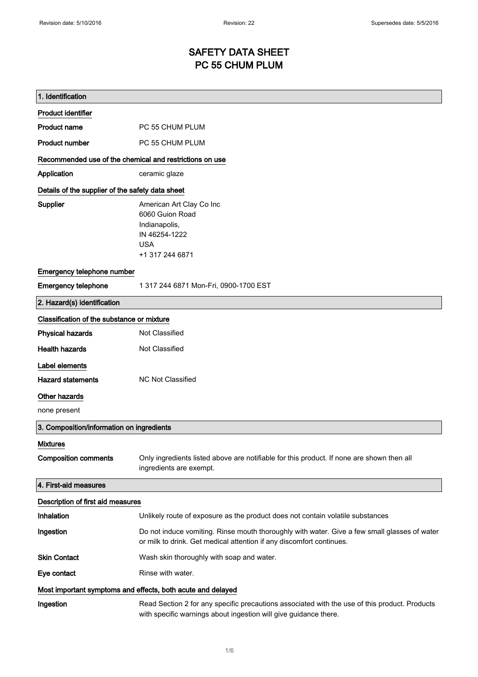# SAFETY DATA SHEET PC 55 CHUM PLUM

| 1. Identification                                                                  |                                                                                                                                                                      |
|------------------------------------------------------------------------------------|----------------------------------------------------------------------------------------------------------------------------------------------------------------------|
| <b>Product identifier</b>                                                          |                                                                                                                                                                      |
| <b>Product name</b>                                                                | PC 55 CHUM PLUM                                                                                                                                                      |
| <b>Product number</b>                                                              | PC 55 CHUM PLUM                                                                                                                                                      |
| Recommended use of the chemical and restrictions on use                            |                                                                                                                                                                      |
| Application                                                                        | ceramic glaze                                                                                                                                                        |
| Details of the supplier of the safety data sheet                                   |                                                                                                                                                                      |
| Supplier                                                                           | American Art Clay Co Inc<br>6060 Guion Road<br>Indianapolis,<br>IN 46254-1222<br><b>USA</b><br>+1 317 244 6871                                                       |
| Emergency telephone number                                                         |                                                                                                                                                                      |
| <b>Emergency telephone</b>                                                         | 1 317 244 6871 Mon-Fri, 0900-1700 EST                                                                                                                                |
| 2. Hazard(s) identification                                                        |                                                                                                                                                                      |
| Classification of the substance or mixture                                         |                                                                                                                                                                      |
| <b>Physical hazards</b>                                                            | Not Classified                                                                                                                                                       |
| <b>Health hazards</b>                                                              | Not Classified                                                                                                                                                       |
| <b>Label elements</b><br><b>Hazard statements</b><br>Other hazards<br>none present | <b>NC Not Classified</b>                                                                                                                                             |
| 3. Composition/information on ingredients                                          |                                                                                                                                                                      |
| <b>Mixtures</b><br><b>Composition comments</b>                                     | Only ingredients listed above are notifiable for this product. If none are shown then all<br>ingredients are exempt.                                                 |
| 4. First-aid measures                                                              |                                                                                                                                                                      |
| Description of first aid measures                                                  |                                                                                                                                                                      |
| Inhalation                                                                         | Unlikely route of exposure as the product does not contain volatile substances                                                                                       |
| Ingestion                                                                          | Do not induce vomiting. Rinse mouth thoroughly with water. Give a few small glasses of water<br>or milk to drink. Get medical attention if any discomfort continues. |
| <b>Skin Contact</b>                                                                | Wash skin thoroughly with soap and water.                                                                                                                            |
| Eye contact                                                                        | Rinse with water.                                                                                                                                                    |
|                                                                                    | Most important symptoms and effects, both acute and delayed                                                                                                          |
| Ingestion                                                                          | Read Section 2 for any specific precautions associated with the use of this product. Products<br>with specific warnings about ingestion will give guidance there.    |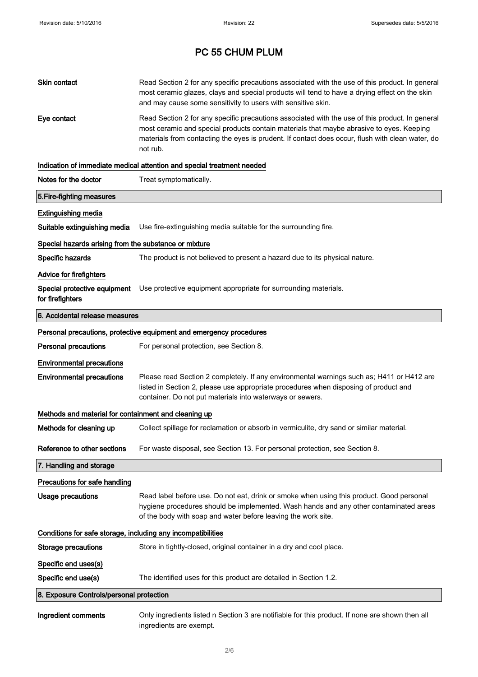| Skin contact                                                 | Read Section 2 for any specific precautions associated with the use of this product. In general<br>most ceramic glazes, clays and special products will tend to have a drying effect on the skin<br>and may cause some sensitivity to users with sensitive skin.                                            |
|--------------------------------------------------------------|-------------------------------------------------------------------------------------------------------------------------------------------------------------------------------------------------------------------------------------------------------------------------------------------------------------|
| Eye contact                                                  | Read Section 2 for any specific precautions associated with the use of this product. In general<br>most ceramic and special products contain materials that maybe abrasive to eyes. Keeping<br>materials from contacting the eyes is prudent. If contact does occur, flush with clean water, do<br>not rub. |
|                                                              | Indication of immediate medical attention and special treatment needed                                                                                                                                                                                                                                      |
| Notes for the doctor                                         | Treat symptomatically.                                                                                                                                                                                                                                                                                      |
| 5. Fire-fighting measures                                    |                                                                                                                                                                                                                                                                                                             |
| <b>Extinguishing media</b>                                   |                                                                                                                                                                                                                                                                                                             |
| Suitable extinguishing media                                 | Use fire-extinguishing media suitable for the surrounding fire.                                                                                                                                                                                                                                             |
| Special hazards arising from the substance or mixture        |                                                                                                                                                                                                                                                                                                             |
| Specific hazards                                             | The product is not believed to present a hazard due to its physical nature.                                                                                                                                                                                                                                 |
| <b>Advice for firefighters</b>                               |                                                                                                                                                                                                                                                                                                             |
| Special protective equipment<br>for firefighters             | Use protective equipment appropriate for surrounding materials.                                                                                                                                                                                                                                             |
| 6. Accidental release measures                               |                                                                                                                                                                                                                                                                                                             |
|                                                              | Personal precautions, protective equipment and emergency procedures                                                                                                                                                                                                                                         |
| <b>Personal precautions</b>                                  | For personal protection, see Section 8.                                                                                                                                                                                                                                                                     |
| <b>Environmental precautions</b>                             |                                                                                                                                                                                                                                                                                                             |
| <b>Environmental precautions</b>                             | Please read Section 2 completely. If any environmental warnings such as; H411 or H412 are<br>listed in Section 2, please use appropriate procedures when disposing of product and<br>container. Do not put materials into waterways or sewers.                                                              |
| Methods and material for containment and cleaning up         |                                                                                                                                                                                                                                                                                                             |
| Methods for cleaning up                                      | Collect spillage for reclamation or absorb in vermiculite, dry sand or similar material.                                                                                                                                                                                                                    |
| Reference to other sections                                  | For waste disposal, see Section 13. For personal protection, see Section 8.                                                                                                                                                                                                                                 |
| 7. Handling and storage                                      |                                                                                                                                                                                                                                                                                                             |
| Precautions for safe handling                                |                                                                                                                                                                                                                                                                                                             |
| <b>Usage precautions</b>                                     | Read label before use. Do not eat, drink or smoke when using this product. Good personal<br>hygiene procedures should be implemented. Wash hands and any other contaminated areas<br>of the body with soap and water before leaving the work site.                                                          |
| Conditions for safe storage, including any incompatibilities |                                                                                                                                                                                                                                                                                                             |
| <b>Storage precautions</b>                                   | Store in tightly-closed, original container in a dry and cool place.                                                                                                                                                                                                                                        |
| Specific end uses(s)                                         |                                                                                                                                                                                                                                                                                                             |
| Specific end use(s)                                          | The identified uses for this product are detailed in Section 1.2.                                                                                                                                                                                                                                           |
| 8. Exposure Controls/personal protection                     |                                                                                                                                                                                                                                                                                                             |
| Ingredient comments                                          | Only ingredients listed n Section 3 are notifiable for this product. If none are shown then all<br>ingredients are exempt.                                                                                                                                                                                  |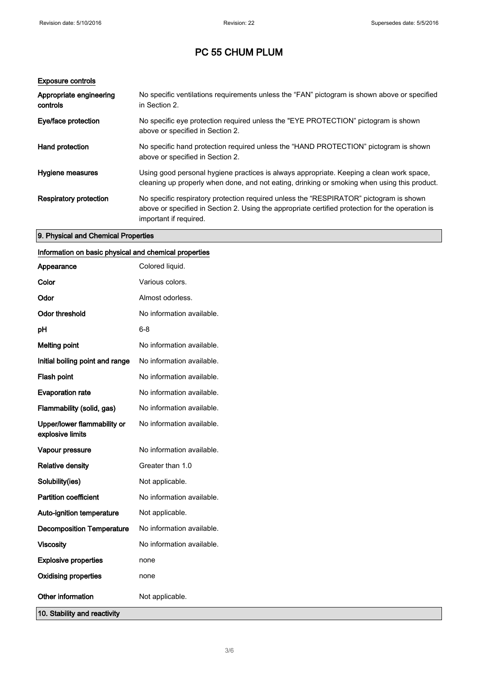## Exposure controls

| Appropriate engineering<br>controls | No specific ventilations requirements unless the "FAN" pictogram is shown above or specified<br>in Section 2.                                                                                                        |
|-------------------------------------|----------------------------------------------------------------------------------------------------------------------------------------------------------------------------------------------------------------------|
| Eye/face protection                 | No specific eve protection required unless the "EYE PROTECTION" pictogram is shown<br>above or specified in Section 2.                                                                                               |
| Hand protection                     | No specific hand protection required unless the "HAND PROTECTION" pictogram is shown<br>above or specified in Section 2.                                                                                             |
| Hygiene measures                    | Using good personal hygiene practices is always appropriate. Keeping a clean work space,<br>cleaning up properly when done, and not eating, drinking or smoking when using this product.                             |
| Respiratory protection              | No specific respiratory protection required unless the "RESPIRATOR" pictogram is shown<br>above or specified in Section 2. Using the appropriate certified protection for the operation is<br>important if required. |

# 9. Physical and Chemical Properties

# Information on basic physical and chemical properties

| Appearance                                      | Colored liquid.           |
|-------------------------------------------------|---------------------------|
| Color                                           | Various colors.           |
| Odor                                            | Almost odorless.          |
| <b>Odor threshold</b>                           | No information available. |
| рH                                              | $6 - 8$                   |
| <b>Melting point</b>                            | No information available. |
| Initial boiling point and range                 | No information available. |
| Flash point                                     | No information available. |
| <b>Evaporation rate</b>                         | No information available. |
| Flammability (solid, gas)                       | No information available. |
| Upper/lower flammability or<br>explosive limits | No information available. |
| Vapour pressure                                 | No information available. |
| <b>Relative density</b>                         | Greater than 1.0          |
| Solubility(ies)                                 | Not applicable.           |
| <b>Partition coefficient</b>                    | No information available. |
| Auto-ignition temperature                       | Not applicable.           |
| <b>Decomposition Temperature</b>                | No information available. |
| <b>Viscosity</b>                                | No information available. |
| <b>Explosive properties</b>                     | none                      |
| <b>Oxidising properties</b>                     | none                      |
| Other information                               | Not applicable.           |
| 10. Stability and reactivity                    |                           |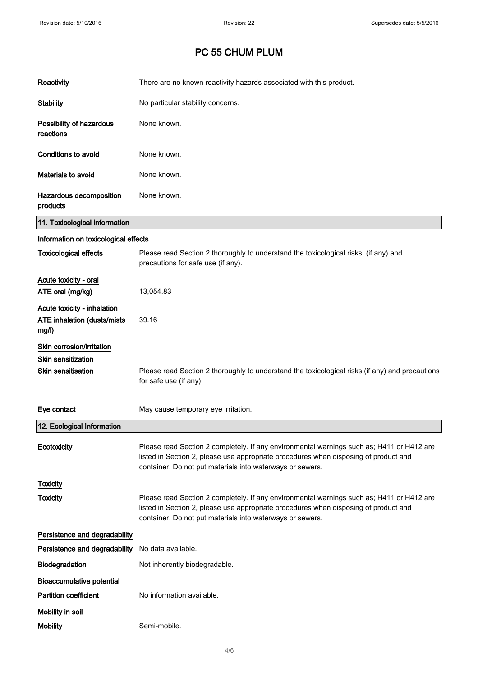| Reactivity                                                          | There are no known reactivity hazards associated with this product.                                                                                                                                                                            |
|---------------------------------------------------------------------|------------------------------------------------------------------------------------------------------------------------------------------------------------------------------------------------------------------------------------------------|
| <b>Stability</b>                                                    | No particular stability concerns.                                                                                                                                                                                                              |
| Possibility of hazardous<br>reactions                               | None known.                                                                                                                                                                                                                                    |
| <b>Conditions to avoid</b>                                          | None known.                                                                                                                                                                                                                                    |
| Materials to avoid                                                  | None known.                                                                                                                                                                                                                                    |
| Hazardous decomposition<br>products                                 | None known.                                                                                                                                                                                                                                    |
| 11. Toxicological information                                       |                                                                                                                                                                                                                                                |
| Information on toxicological effects                                |                                                                                                                                                                                                                                                |
| <b>Toxicological effects</b>                                        | Please read Section 2 thoroughly to understand the toxicological risks, (if any) and<br>precautions for safe use (if any).                                                                                                                     |
| Acute toxicity - oral<br>ATE oral (mg/kg)                           | 13,054.83                                                                                                                                                                                                                                      |
| Acute toxicity - inhalation<br>ATE inhalation (dusts/mists<br>mg/l) | 39.16                                                                                                                                                                                                                                          |
| Skin corrosion/irritation                                           |                                                                                                                                                                                                                                                |
| Skin sensitization                                                  |                                                                                                                                                                                                                                                |
| <b>Skin sensitisation</b>                                           | Please read Section 2 thoroughly to understand the toxicological risks (if any) and precautions<br>for safe use (if any).                                                                                                                      |
| Eye contact                                                         | May cause temporary eye irritation.                                                                                                                                                                                                            |
| 12. Ecological Information                                          |                                                                                                                                                                                                                                                |
| Ecotoxicity                                                         | Please read Section 2 completely. If any environmental warnings such as; H411 or H412 are<br>listed in Section 2, please use appropriate procedures when disposing of product and<br>container. Do not put materials into waterways or sewers. |
| <b>Toxicity</b>                                                     |                                                                                                                                                                                                                                                |
| <b>Toxicity</b>                                                     | Please read Section 2 completely. If any environmental warnings such as; H411 or H412 are<br>listed in Section 2, please use appropriate procedures when disposing of product and<br>container. Do not put materials into waterways or sewers. |
| Persistence and degradability                                       |                                                                                                                                                                                                                                                |
| Persistence and degradability                                       | No data available.                                                                                                                                                                                                                             |
| Biodegradation                                                      | Not inherently biodegradable.                                                                                                                                                                                                                  |
| <b>Bioaccumulative potential</b>                                    |                                                                                                                                                                                                                                                |
| <b>Partition coefficient</b>                                        | No information available.                                                                                                                                                                                                                      |
| Mobility in soil                                                    |                                                                                                                                                                                                                                                |
| <b>Mobility</b>                                                     | Semi-mobile.                                                                                                                                                                                                                                   |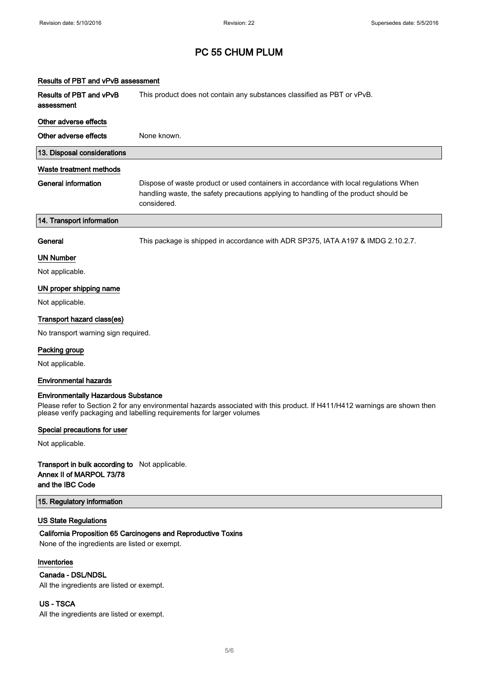# Results of PBT and vPvB assessment Results of PBT and vPvB assessment This product does not contain any substances classified as PBT or vPvB. Other adverse effects Other adverse effects None known. 13. Disposal considerations Waste treatment methods General information Dispose of waste product or used containers in accordance with local regulations When handling waste, the safety precautions applying to handling of the product should be considered. 14. Transport information General This package is shipped in accordance with ADR SP375, IATA A197 & IMDG 2.10.2.7. UN Number Not applicable. UN proper shipping name Not applicable. Transport hazard class(es) No transport warning sign required. Packing group Not applicable. Environmental hazards Environmentally Hazardous Substance Please refer to Section 2 for any environmental hazards associated with this product. If H411/H412 warnings are shown then please verify packaging and labelling requirements for larger volumes Special precautions for user Not applicable.

### Transport in bulk according to Not applicable. Annex II of MARPOL 73/78 and the IBC Code

## 15. Regulatory information

### US State Regulations

## California Proposition 65 Carcinogens and Reproductive Toxins

None of the ingredients are listed or exempt.

### Inventories

## Canada - DSL/NDSL

All the ingredients are listed or exempt.

## US - TSCA

All the ingredients are listed or exempt.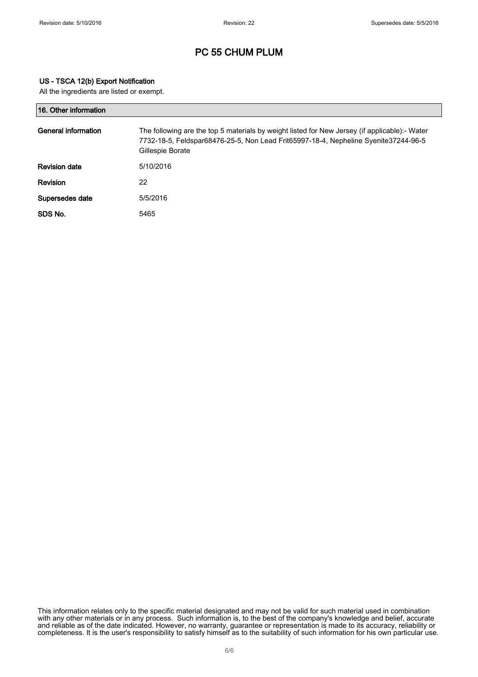## US - TSCA 12(b) Export Notification

All the ingredients are listed or exempt.

| 16. Other information |                                                                                                                                                                                                          |
|-----------------------|----------------------------------------------------------------------------------------------------------------------------------------------------------------------------------------------------------|
| General information   | The following are the top 5 materials by weight listed for New Jersey (if applicable):- Water<br>7732-18-5, Feldspar68476-25-5, Non Lead Frit65997-18-4, Nepheline Syenite37244-96-5<br>Gillespie Borate |
| <b>Revision date</b>  | 5/10/2016                                                                                                                                                                                                |
| <b>Revision</b>       | 22                                                                                                                                                                                                       |
| Supersedes date       | 5/5/2016                                                                                                                                                                                                 |
| SDS No.               | 5465                                                                                                                                                                                                     |

This information relates only to the specific material designated and may not be valid for such material used in combination with any other materials or in any process. Such information is, to the best of the company's knowledge and belief, accurate and reliable as of the date indicated. However, no warranty, guarantee or representation is made to its accuracy, reliability or completeness. It is the user's responsibility to satisfy himself as to the suitability of such information for his own particular use.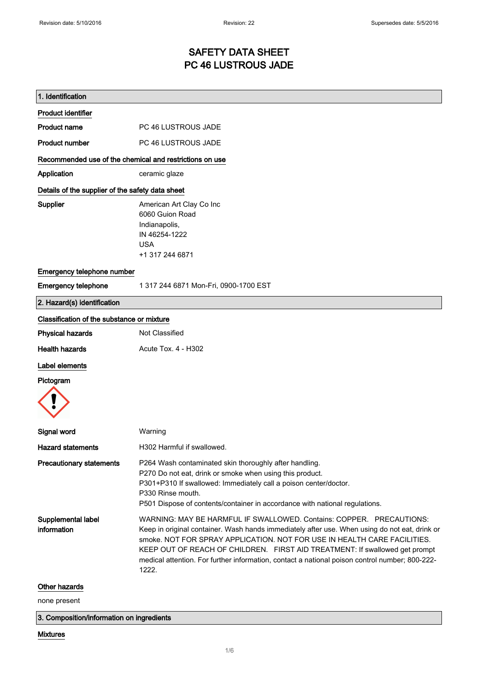# SAFETY DATA SHEET PC 46 LUSTROUS JADE

| 1. Identification                                       |                                                                                                                                                                                                                                                                                                                                                                                                                                             |
|---------------------------------------------------------|---------------------------------------------------------------------------------------------------------------------------------------------------------------------------------------------------------------------------------------------------------------------------------------------------------------------------------------------------------------------------------------------------------------------------------------------|
| <b>Product identifier</b>                               |                                                                                                                                                                                                                                                                                                                                                                                                                                             |
| <b>Product name</b>                                     | PC 46 LUSTROUS JADE                                                                                                                                                                                                                                                                                                                                                                                                                         |
| <b>Product number</b>                                   | PC 46 LUSTROUS JADE                                                                                                                                                                                                                                                                                                                                                                                                                         |
| Recommended use of the chemical and restrictions on use |                                                                                                                                                                                                                                                                                                                                                                                                                                             |
| Application                                             | ceramic glaze                                                                                                                                                                                                                                                                                                                                                                                                                               |
| Details of the supplier of the safety data sheet        |                                                                                                                                                                                                                                                                                                                                                                                                                                             |
| Supplier                                                | American Art Clay Co Inc<br>6060 Guion Road<br>Indianapolis,<br>IN 46254-1222<br><b>USA</b><br>+1 317 244 6871                                                                                                                                                                                                                                                                                                                              |
| Emergency telephone number                              |                                                                                                                                                                                                                                                                                                                                                                                                                                             |
| <b>Emergency telephone</b>                              | 1 317 244 6871 Mon-Fri, 0900-1700 EST                                                                                                                                                                                                                                                                                                                                                                                                       |
| 2. Hazard(s) identification                             |                                                                                                                                                                                                                                                                                                                                                                                                                                             |
| Classification of the substance or mixture              |                                                                                                                                                                                                                                                                                                                                                                                                                                             |
| <b>Physical hazards</b>                                 | Not Classified                                                                                                                                                                                                                                                                                                                                                                                                                              |
| <b>Health hazards</b>                                   | Acute Tox. 4 - H302                                                                                                                                                                                                                                                                                                                                                                                                                         |
| Label elements                                          |                                                                                                                                                                                                                                                                                                                                                                                                                                             |
| Pictogram                                               |                                                                                                                                                                                                                                                                                                                                                                                                                                             |
|                                                         |                                                                                                                                                                                                                                                                                                                                                                                                                                             |
| Signal word                                             | Warning                                                                                                                                                                                                                                                                                                                                                                                                                                     |
| <b>Hazard statements</b>                                | H302 Harmful if swallowed.                                                                                                                                                                                                                                                                                                                                                                                                                  |
| <b>Precautionary statements</b>                         | P264 Wash contaminated skin thoroughly after handling.<br>P270 Do not eat, drink or smoke when using this product.<br>P301+P310 If swallowed: Immediately call a poison center/doctor.<br>P330 Rinse mouth.<br>P501 Dispose of contents/container in accordance with national regulations.                                                                                                                                                  |
| Supplemental label<br>information                       | WARNING: MAY BE HARMFUL IF SWALLOWED, Contains: COPPER. PRECAUTIONS:<br>Keep in original container. Wash hands immediately after use. When using do not eat, drink or<br>smoke, NOT FOR SPRAY APPLICATION, NOT FOR USE IN HEALTH CARE FACILITIES.<br>KEEP OUT OF REACH OF CHILDREN. FIRST AID TREATMENT: If swallowed get prompt<br>medical attention. For further information, contact a national poison control number; 800-222-<br>1222. |
| Other hazards<br>none present                           |                                                                                                                                                                                                                                                                                                                                                                                                                                             |

3. Composition/information on ingredients

### Mixtures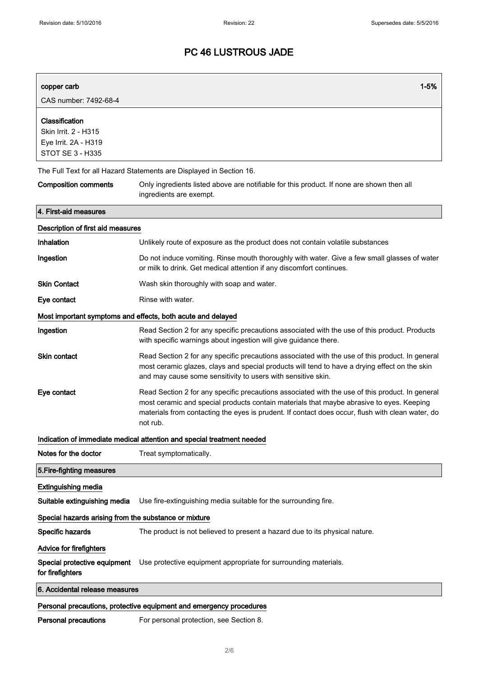# PC 46 LUSTROUS JADE

| copper carb                                                                               | $1 - 5%$                                                                                                                                                                                                                                                                                                    |  |  |
|-------------------------------------------------------------------------------------------|-------------------------------------------------------------------------------------------------------------------------------------------------------------------------------------------------------------------------------------------------------------------------------------------------------------|--|--|
| CAS number: 7492-68-4                                                                     |                                                                                                                                                                                                                                                                                                             |  |  |
| Classification<br>Skin Irrit. 2 - H315<br>Eye Irrit. 2A - H319<br><b>STOT SE 3 - H335</b> |                                                                                                                                                                                                                                                                                                             |  |  |
|                                                                                           | The Full Text for all Hazard Statements are Displayed in Section 16.                                                                                                                                                                                                                                        |  |  |
| <b>Composition comments</b>                                                               | Only ingredients listed above are notifiable for this product. If none are shown then all<br>ingredients are exempt.                                                                                                                                                                                        |  |  |
| 4. First-aid measures                                                                     |                                                                                                                                                                                                                                                                                                             |  |  |
| Description of first aid measures                                                         |                                                                                                                                                                                                                                                                                                             |  |  |
| Inhalation                                                                                | Unlikely route of exposure as the product does not contain volatile substances                                                                                                                                                                                                                              |  |  |
| Ingestion                                                                                 | Do not induce vomiting. Rinse mouth thoroughly with water. Give a few small glasses of water<br>or milk to drink. Get medical attention if any discomfort continues.                                                                                                                                        |  |  |
| <b>Skin Contact</b>                                                                       | Wash skin thoroughly with soap and water.                                                                                                                                                                                                                                                                   |  |  |
| Eye contact                                                                               | Rinse with water.                                                                                                                                                                                                                                                                                           |  |  |
|                                                                                           | Most important symptoms and effects, both acute and delayed                                                                                                                                                                                                                                                 |  |  |
| Ingestion                                                                                 | Read Section 2 for any specific precautions associated with the use of this product. Products<br>with specific warnings about ingestion will give guidance there.                                                                                                                                           |  |  |
| <b>Skin contact</b>                                                                       | Read Section 2 for any specific precautions associated with the use of this product. In general<br>most ceramic glazes, clays and special products will tend to have a drying effect on the skin<br>and may cause some sensitivity to users with sensitive skin.                                            |  |  |
| Eye contact                                                                               | Read Section 2 for any specific precautions associated with the use of this product. In general<br>most ceramic and special products contain materials that maybe abrasive to eyes. Keeping<br>materials from contacting the eyes is prudent. If contact does occur, flush with clean water, do<br>not rub. |  |  |
|                                                                                           | Indication of immediate medical attention and special treatment needed                                                                                                                                                                                                                                      |  |  |
| Notes for the doctor                                                                      | Treat symptomatically.                                                                                                                                                                                                                                                                                      |  |  |
| 5. Fire-fighting measures                                                                 |                                                                                                                                                                                                                                                                                                             |  |  |
| <b>Extinguishing media</b><br>Suitable extinguishing media                                | Use fire-extinguishing media suitable for the surrounding fire.                                                                                                                                                                                                                                             |  |  |
| Special hazards arising from the substance or mixture                                     |                                                                                                                                                                                                                                                                                                             |  |  |
| Specific hazards                                                                          | The product is not believed to present a hazard due to its physical nature.                                                                                                                                                                                                                                 |  |  |
| <b>Advice for firefighters</b>                                                            |                                                                                                                                                                                                                                                                                                             |  |  |
| Special protective equipment<br>for firefighters                                          | Use protective equipment appropriate for surrounding materials.                                                                                                                                                                                                                                             |  |  |
| 6. Accidental release measures                                                            |                                                                                                                                                                                                                                                                                                             |  |  |
|                                                                                           | Personal precautions, protective equipment and emergency procedures                                                                                                                                                                                                                                         |  |  |

Personal precautions For personal protection, see Section 8.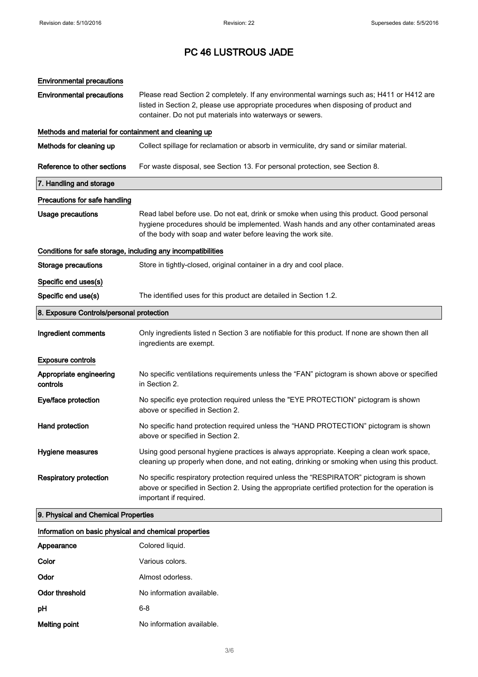# PC 46 LUSTROUS JADE

| <b>Environmental precautions</b>                             |                                                                                                                                                                                                                                                    |  |
|--------------------------------------------------------------|----------------------------------------------------------------------------------------------------------------------------------------------------------------------------------------------------------------------------------------------------|--|
| <b>Environmental precautions</b>                             | Please read Section 2 completely. If any environmental warnings such as; H411 or H412 are<br>listed in Section 2, please use appropriate procedures when disposing of product and<br>container. Do not put materials into waterways or sewers.     |  |
| Methods and material for containment and cleaning up         |                                                                                                                                                                                                                                                    |  |
| Methods for cleaning up                                      | Collect spillage for reclamation or absorb in vermiculite, dry sand or similar material.                                                                                                                                                           |  |
| Reference to other sections                                  | For waste disposal, see Section 13. For personal protection, see Section 8.                                                                                                                                                                        |  |
| 7. Handling and storage                                      |                                                                                                                                                                                                                                                    |  |
| Precautions for safe handling                                |                                                                                                                                                                                                                                                    |  |
| <b>Usage precautions</b>                                     | Read label before use. Do not eat, drink or smoke when using this product. Good personal<br>hygiene procedures should be implemented. Wash hands and any other contaminated areas<br>of the body with soap and water before leaving the work site. |  |
| Conditions for safe storage, including any incompatibilities |                                                                                                                                                                                                                                                    |  |
| <b>Storage precautions</b>                                   | Store in tightly-closed, original container in a dry and cool place.                                                                                                                                                                               |  |
| Specific end uses(s)                                         |                                                                                                                                                                                                                                                    |  |
| Specific end use(s)                                          | The identified uses for this product are detailed in Section 1.2.                                                                                                                                                                                  |  |
| 8. Exposure Controls/personal protection                     |                                                                                                                                                                                                                                                    |  |
| Ingredient comments                                          | Only ingredients listed n Section 3 are notifiable for this product. If none are shown then all<br>ingredients are exempt.                                                                                                                         |  |
| <b>Exposure controls</b>                                     |                                                                                                                                                                                                                                                    |  |
| Appropriate engineering<br>controls                          | No specific ventilations requirements unless the "FAN" pictogram is shown above or specified<br>in Section 2.                                                                                                                                      |  |
| Eye/face protection                                          | No specific eye protection required unless the "EYE PROTECTION" pictogram is shown<br>above or specified in Section 2.                                                                                                                             |  |
| Hand protection                                              | No specific hand protection required unless the "HAND PROTECTION" pictogram is shown<br>above or specified in Section 2.                                                                                                                           |  |
| Hygiene measures                                             | Using good personal hygiene practices is always appropriate. Keeping a clean work space,<br>cleaning up properly when done, and not eating, drinking or smoking when using this product.                                                           |  |
| <b>Respiratory protection</b>                                | No specific respiratory protection required unless the "RESPIRATOR" pictogram is shown<br>above or specified in Section 2. Using the appropriate certified protection for the operation is                                                         |  |
|                                                              | important if required.                                                                                                                                                                                                                             |  |

# Information on basic physical and chemical properties

| Appearance           | Colored liquid.           |
|----------------------|---------------------------|
| Color                | Various colors.           |
| Odor                 | Almost odorless.          |
| Odor threshold       | No information available. |
| рH                   | 6-8                       |
| <b>Melting point</b> | No information available. |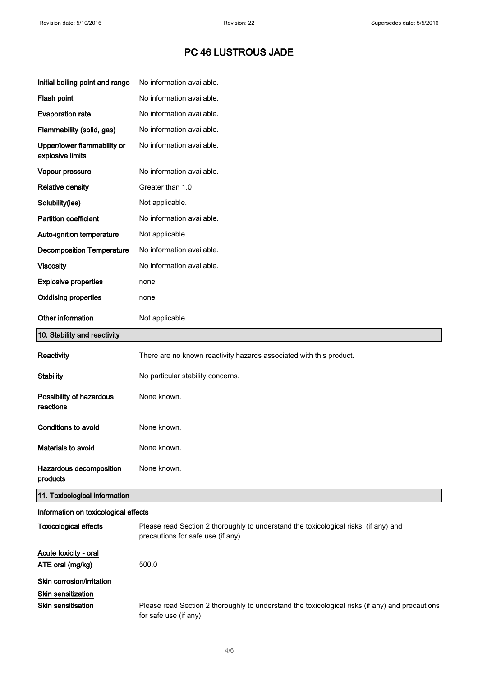$\hat{\boldsymbol{\beta}}$ 

# PC 46 LUSTROUS JADE

| Initial boiling point and range                                                     | No information available.                                                                                                  |
|-------------------------------------------------------------------------------------|----------------------------------------------------------------------------------------------------------------------------|
| Flash point                                                                         | No information available.                                                                                                  |
| <b>Evaporation rate</b>                                                             | No information available.                                                                                                  |
| Flammability (solid, gas)                                                           | No information available.                                                                                                  |
| Upper/lower flammability or<br>explosive limits                                     | No information available.                                                                                                  |
| Vapour pressure                                                                     | No information available.                                                                                                  |
| <b>Relative density</b>                                                             | Greater than 1.0                                                                                                           |
| Solubility(ies)                                                                     | Not applicable.                                                                                                            |
| <b>Partition coefficient</b>                                                        | No information available.                                                                                                  |
| Auto-ignition temperature                                                           | Not applicable.                                                                                                            |
| <b>Decomposition Temperature</b>                                                    | No information available.                                                                                                  |
| <b>Viscosity</b>                                                                    | No information available.                                                                                                  |
| <b>Explosive properties</b>                                                         | none                                                                                                                       |
| <b>Oxidising properties</b>                                                         | none                                                                                                                       |
| Other information                                                                   | Not applicable.                                                                                                            |
| 10. Stability and reactivity                                                        |                                                                                                                            |
| Reactivity                                                                          | There are no known reactivity hazards associated with this product.                                                        |
| <b>Stability</b>                                                                    | No particular stability concerns.                                                                                          |
| Possibility of hazardous<br>reactions                                               | None known.                                                                                                                |
| <b>Conditions to avoid</b>                                                          | None known.                                                                                                                |
| Materials to avoid                                                                  | None known.                                                                                                                |
| Hazardous decomposition<br>products                                                 | None known.                                                                                                                |
| 11. Toxicological information                                                       |                                                                                                                            |
| Information on toxicological effects                                                |                                                                                                                            |
| <b>Toxicological effects</b>                                                        | Please read Section 2 thoroughly to understand the toxicological risks, (if any) and<br>precautions for safe use (if any). |
| Acute toxicity - oral                                                               |                                                                                                                            |
| ATE oral (mg/kg)                                                                    | 500.0                                                                                                                      |
| Skin corrosion/irritation<br><b>Skin sensitization</b><br><b>Skin sensitisation</b> | Please read Section 2 thoroughly to understand the toxicological risks (if any) and precautions<br>for safe use (if any).  |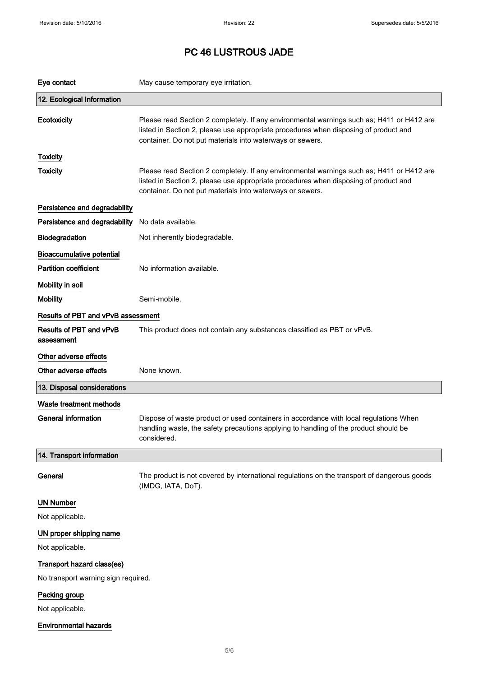# PC 46 LUSTROUS JADE

| Eye contact                                  | May cause temporary eye irritation.                                                                                                                                                                                                            |
|----------------------------------------------|------------------------------------------------------------------------------------------------------------------------------------------------------------------------------------------------------------------------------------------------|
| 12. Ecological Information                   |                                                                                                                                                                                                                                                |
| Ecotoxicity                                  | Please read Section 2 completely. If any environmental warnings such as; H411 or H412 are<br>listed in Section 2, please use appropriate procedures when disposing of product and<br>container. Do not put materials into waterways or sewers. |
| <b>Toxicity</b>                              |                                                                                                                                                                                                                                                |
| <b>Toxicity</b>                              | Please read Section 2 completely. If any environmental warnings such as; H411 or H412 are<br>listed in Section 2, please use appropriate procedures when disposing of product and<br>container. Do not put materials into waterways or sewers. |
| Persistence and degradability                |                                                                                                                                                                                                                                                |
| Persistence and degradability                | No data available.                                                                                                                                                                                                                             |
| Biodegradation                               | Not inherently biodegradable.                                                                                                                                                                                                                  |
| <b>Bioaccumulative potential</b>             |                                                                                                                                                                                                                                                |
| <b>Partition coefficient</b>                 | No information available.                                                                                                                                                                                                                      |
| Mobility in soil                             |                                                                                                                                                                                                                                                |
| <b>Mobility</b>                              | Semi-mobile.                                                                                                                                                                                                                                   |
| <b>Results of PBT and vPvB assessment</b>    |                                                                                                                                                                                                                                                |
| <b>Results of PBT and vPvB</b><br>assessment | This product does not contain any substances classified as PBT or vPvB.                                                                                                                                                                        |
| Other adverse effects                        |                                                                                                                                                                                                                                                |
| Other adverse effects                        | None known.                                                                                                                                                                                                                                    |
| 13. Disposal considerations                  |                                                                                                                                                                                                                                                |
| Waste treatment methods                      |                                                                                                                                                                                                                                                |
| General information                          | Dispose of waste product or used containers in accordance with local regulations When<br>handling waste, the safety precautions applying to handling of the product should be<br>considered.                                                   |
| 14. Transport information                    |                                                                                                                                                                                                                                                |
| General                                      | The product is not covered by international regulations on the transport of dangerous goods<br>(IMDG, IATA, DoT).                                                                                                                              |
| <b>UN Number</b>                             |                                                                                                                                                                                                                                                |
| Not applicable.                              |                                                                                                                                                                                                                                                |
| UN proper shipping name                      |                                                                                                                                                                                                                                                |
| Not applicable.                              |                                                                                                                                                                                                                                                |
| Transport hazard class(es)                   |                                                                                                                                                                                                                                                |
| No transport warning sign required.          |                                                                                                                                                                                                                                                |
| Packing group<br>Not applicable.             |                                                                                                                                                                                                                                                |
| <b>Environmental hazards</b>                 |                                                                                                                                                                                                                                                |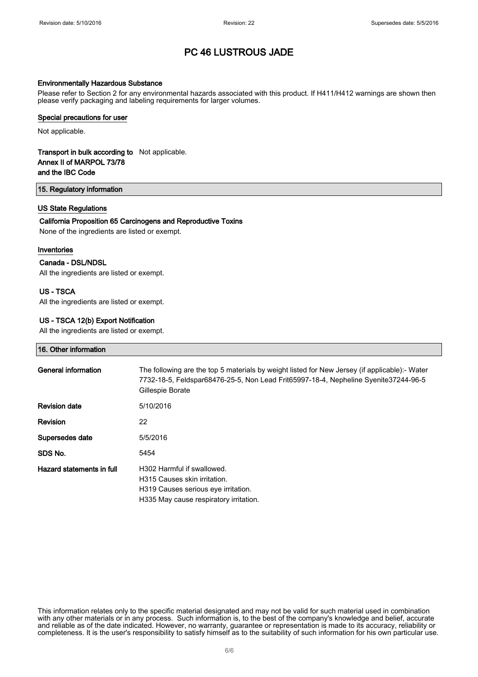# PC 46 LUSTROUS JADE

#### Environmentally Hazardous Substance

Please refer to Section 2 for any environmental hazards associated with this product. If H411/H412 warnings are shown then please verify packaging and labeling requirements for larger volumes.

#### Special precautions for user

Not applicable.

## Transport in bulk according to Not applicable. Annex II of MARPOL 73/78 and the IBC Code

15. Regulatory information

### US State Regulations

# California Proposition 65 Carcinogens and Reproductive Toxins

None of the ingredients are listed or exempt.

### Inventories

### Canada - DSL/NDSL

All the ingredients are listed or exempt.

## US - TSCA

All the ingredients are listed or exempt.

## US - TSCA 12(b) Export Notification

All the ingredients are listed or exempt.

#### 16. Other information

| General information       | The following are the top 5 materials by weight listed for New Jersey (if applicable):- Water<br>7732-18-5, Feldspar68476-25-5, Non Lead Frit65997-18-4, Nepheline Syenite37244-96-5<br>Gillespie Borate |
|---------------------------|----------------------------------------------------------------------------------------------------------------------------------------------------------------------------------------------------------|
| <b>Revision date</b>      | 5/10/2016                                                                                                                                                                                                |
| <b>Revision</b>           | 22                                                                                                                                                                                                       |
| Supersedes date           | 5/5/2016                                                                                                                                                                                                 |
| SDS No.                   | 5454                                                                                                                                                                                                     |
| Hazard statements in full | H302 Harmful if swallowed.<br>H315 Causes skin irritation.<br>H319 Causes serious eve irritation.<br>H335 May cause respiratory irritation.                                                              |

This information relates only to the specific material designated and may not be valid for such material used in combination with any other materials or in any process. Such information is, to the best of the company's knowledge and belief, accurate and reliable as of the date indicated. However, no warranty, guarantee or representation is made to its accuracy, reliability or completeness. It is the user's responsibility to satisfy himself as to the suitability of such information for his own particular use.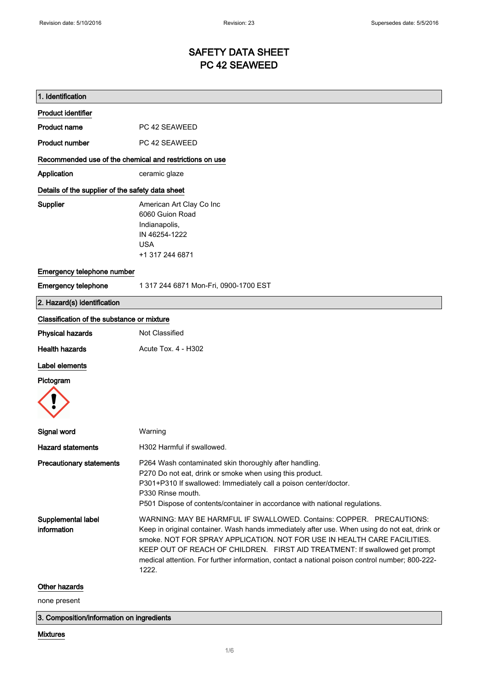# SAFETY DATA SHEET PC 42 SEAWEED

| 1. Identification                                       |                                                                                                                                                                                                                                                                                                                                                                                                                                             |
|---------------------------------------------------------|---------------------------------------------------------------------------------------------------------------------------------------------------------------------------------------------------------------------------------------------------------------------------------------------------------------------------------------------------------------------------------------------------------------------------------------------|
| <b>Product identifier</b>                               |                                                                                                                                                                                                                                                                                                                                                                                                                                             |
| <b>Product name</b>                                     | PC 42 SEAWEED                                                                                                                                                                                                                                                                                                                                                                                                                               |
| <b>Product number</b>                                   | PC 42 SEAWEED                                                                                                                                                                                                                                                                                                                                                                                                                               |
| Recommended use of the chemical and restrictions on use |                                                                                                                                                                                                                                                                                                                                                                                                                                             |
| Application                                             | ceramic glaze                                                                                                                                                                                                                                                                                                                                                                                                                               |
| Details of the supplier of the safety data sheet        |                                                                                                                                                                                                                                                                                                                                                                                                                                             |
| Supplier                                                | American Art Clay Co Inc<br>6060 Guion Road<br>Indianapolis,<br>IN 46254-1222<br><b>USA</b><br>+1 317 244 6871                                                                                                                                                                                                                                                                                                                              |
| Emergency telephone number                              |                                                                                                                                                                                                                                                                                                                                                                                                                                             |
| <b>Emergency telephone</b>                              | 1 317 244 6871 Mon-Fri, 0900-1700 EST                                                                                                                                                                                                                                                                                                                                                                                                       |
| 2. Hazard(s) identification                             |                                                                                                                                                                                                                                                                                                                                                                                                                                             |
| Classification of the substance or mixture              |                                                                                                                                                                                                                                                                                                                                                                                                                                             |
| <b>Physical hazards</b>                                 | Not Classified                                                                                                                                                                                                                                                                                                                                                                                                                              |
| <b>Health hazards</b>                                   | Acute Tox. 4 - H302                                                                                                                                                                                                                                                                                                                                                                                                                         |
| Label elements                                          |                                                                                                                                                                                                                                                                                                                                                                                                                                             |
| Pictogram                                               |                                                                                                                                                                                                                                                                                                                                                                                                                                             |
| Signal word                                             | Warning                                                                                                                                                                                                                                                                                                                                                                                                                                     |
| <b>Hazard statements</b>                                | H302 Harmful if swallowed.                                                                                                                                                                                                                                                                                                                                                                                                                  |
| <b>Precautionary statements</b>                         | P264 Wash contaminated skin thoroughly after handling.<br>P270 Do not eat, drink or smoke when using this product.<br>P301+P310 If swallowed: Immediately call a poison center/doctor.<br>P330 Rinse mouth.<br>P501 Dispose of contents/container in accordance with national regulations.                                                                                                                                                  |
| Supplemental label<br>information                       | WARNING: MAY BE HARMFUL IF SWALLOWED, Contains: COPPER. PRECAUTIONS:<br>Keep in original container. Wash hands immediately after use. When using do not eat, drink or<br>smoke. NOT FOR SPRAY APPLICATION. NOT FOR USE IN HEALTH CARE FACILITIES.<br>KEEP OUT OF REACH OF CHILDREN. FIRST AID TREATMENT: If swallowed get prompt<br>medical attention. For further information, contact a national poison control number; 800-222-<br>1222. |
| Other hazards                                           |                                                                                                                                                                                                                                                                                                                                                                                                                                             |
| none present                                            |                                                                                                                                                                                                                                                                                                                                                                                                                                             |

3. Composition/information on ingredients

## Mixtures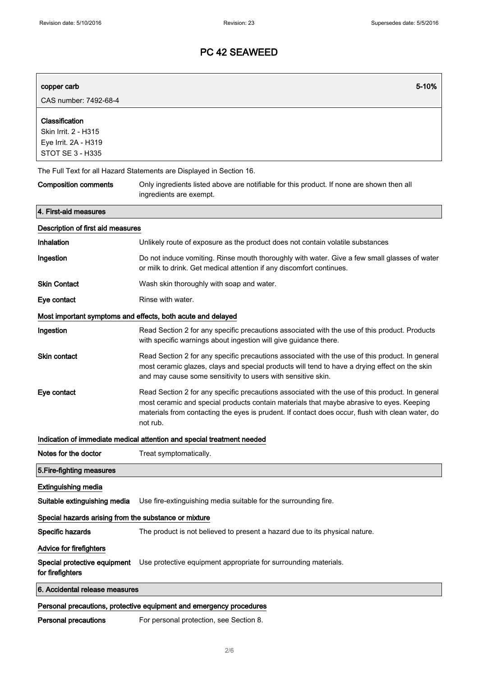# PC 42 SEAWEED

| copper carb                                                                        | 5-10%                                                                                                                                                                                                                                                                                                       |  |
|------------------------------------------------------------------------------------|-------------------------------------------------------------------------------------------------------------------------------------------------------------------------------------------------------------------------------------------------------------------------------------------------------------|--|
| CAS number: 7492-68-4                                                              |                                                                                                                                                                                                                                                                                                             |  |
| Classification<br>Skin Irrit. 2 - H315<br>Eye Irrit. 2A - H319<br>STOT SE 3 - H335 |                                                                                                                                                                                                                                                                                                             |  |
|                                                                                    | The Full Text for all Hazard Statements are Displayed in Section 16.                                                                                                                                                                                                                                        |  |
| <b>Composition comments</b>                                                        | Only ingredients listed above are notifiable for this product. If none are shown then all<br>ingredients are exempt.                                                                                                                                                                                        |  |
| 4. First-aid measures                                                              |                                                                                                                                                                                                                                                                                                             |  |
| Description of first aid measures                                                  |                                                                                                                                                                                                                                                                                                             |  |
| Inhalation                                                                         | Unlikely route of exposure as the product does not contain volatile substances                                                                                                                                                                                                                              |  |
| Ingestion                                                                          | Do not induce vomiting. Rinse mouth thoroughly with water. Give a few small glasses of water<br>or milk to drink. Get medical attention if any discomfort continues.                                                                                                                                        |  |
| <b>Skin Contact</b>                                                                | Wash skin thoroughly with soap and water.                                                                                                                                                                                                                                                                   |  |
| Eye contact                                                                        | Rinse with water.                                                                                                                                                                                                                                                                                           |  |
| Most important symptoms and effects, both acute and delayed                        |                                                                                                                                                                                                                                                                                                             |  |
| Ingestion                                                                          | Read Section 2 for any specific precautions associated with the use of this product. Products<br>with specific warnings about ingestion will give guidance there.                                                                                                                                           |  |
| <b>Skin contact</b>                                                                | Read Section 2 for any specific precautions associated with the use of this product. In general<br>most ceramic glazes, clays and special products will tend to have a drying effect on the skin<br>and may cause some sensitivity to users with sensitive skin.                                            |  |
| Eye contact                                                                        | Read Section 2 for any specific precautions associated with the use of this product. In general<br>most ceramic and special products contain materials that maybe abrasive to eyes. Keeping<br>materials from contacting the eyes is prudent. If contact does occur, flush with clean water, do<br>not rub. |  |
|                                                                                    | Indication of immediate medical attention and special treatment needed                                                                                                                                                                                                                                      |  |
| Notes for the doctor                                                               | Treat symptomatically.                                                                                                                                                                                                                                                                                      |  |
| 5. Fire-fighting measures                                                          |                                                                                                                                                                                                                                                                                                             |  |
| <b>Extinguishing media</b>                                                         |                                                                                                                                                                                                                                                                                                             |  |
| Suitable extinguishing media                                                       | Use fire-extinguishing media suitable for the surrounding fire.                                                                                                                                                                                                                                             |  |
| Special hazards arising from the substance or mixture                              |                                                                                                                                                                                                                                                                                                             |  |
| Specific hazards                                                                   | The product is not believed to present a hazard due to its physical nature.                                                                                                                                                                                                                                 |  |
| Advice for firefighters                                                            |                                                                                                                                                                                                                                                                                                             |  |
| Special protective equipment<br>for firefighters                                   | Use protective equipment appropriate for surrounding materials.                                                                                                                                                                                                                                             |  |
| 6. Accidental release measures                                                     |                                                                                                                                                                                                                                                                                                             |  |
|                                                                                    | Personal precautions, protective equipment and emergency procedures                                                                                                                                                                                                                                         |  |
|                                                                                    |                                                                                                                                                                                                                                                                                                             |  |

Personal precautions For personal protection, see Section 8.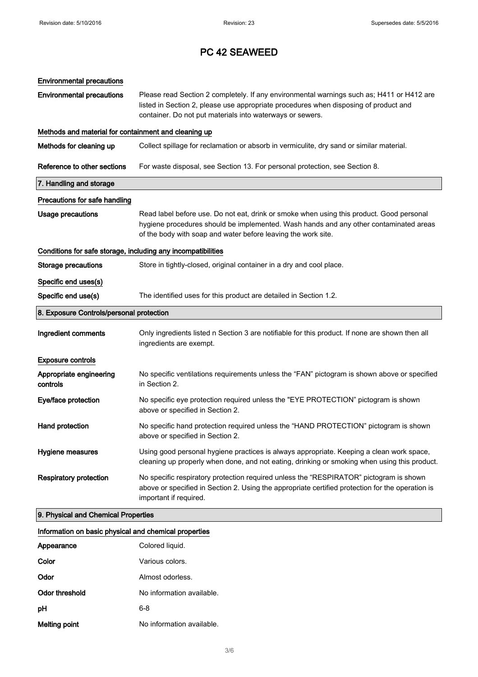# PC 42 SEAWEED

| <b>Environmental precautions</b>                             |                                                                                                                                                                                                                                                    |  |
|--------------------------------------------------------------|----------------------------------------------------------------------------------------------------------------------------------------------------------------------------------------------------------------------------------------------------|--|
| <b>Environmental precautions</b>                             | Please read Section 2 completely. If any environmental warnings such as; H411 or H412 are<br>listed in Section 2, please use appropriate procedures when disposing of product and<br>container. Do not put materials into waterways or sewers.     |  |
| Methods and material for containment and cleaning up         |                                                                                                                                                                                                                                                    |  |
| Methods for cleaning up                                      | Collect spillage for reclamation or absorb in vermiculite, dry sand or similar material.                                                                                                                                                           |  |
| Reference to other sections                                  | For waste disposal, see Section 13. For personal protection, see Section 8.                                                                                                                                                                        |  |
| 7. Handling and storage                                      |                                                                                                                                                                                                                                                    |  |
| Precautions for safe handling                                |                                                                                                                                                                                                                                                    |  |
| <b>Usage precautions</b>                                     | Read label before use. Do not eat, drink or smoke when using this product. Good personal<br>hygiene procedures should be implemented. Wash hands and any other contaminated areas<br>of the body with soap and water before leaving the work site. |  |
| Conditions for safe storage, including any incompatibilities |                                                                                                                                                                                                                                                    |  |
| <b>Storage precautions</b>                                   | Store in tightly-closed, original container in a dry and cool place.                                                                                                                                                                               |  |
| Specific end uses(s)                                         |                                                                                                                                                                                                                                                    |  |
| Specific end use(s)                                          | The identified uses for this product are detailed in Section 1.2.                                                                                                                                                                                  |  |
| 8. Exposure Controls/personal protection                     |                                                                                                                                                                                                                                                    |  |
| Ingredient comments                                          | Only ingredients listed n Section 3 are notifiable for this product. If none are shown then all<br>ingredients are exempt.                                                                                                                         |  |
| <b>Exposure controls</b>                                     |                                                                                                                                                                                                                                                    |  |
| Appropriate engineering<br>controls                          | No specific ventilations requirements unless the "FAN" pictogram is shown above or specified<br>in Section 2.                                                                                                                                      |  |
| Eye/face protection                                          | No specific eye protection required unless the "EYE PROTECTION" pictogram is shown<br>above or specified in Section 2.                                                                                                                             |  |
| Hand protection                                              | No specific hand protection required unless the "HAND PROTECTION" pictogram is shown<br>above or specified in Section 2.                                                                                                                           |  |
| Hygiene measures                                             | Using good personal hygiene practices is always appropriate. Keeping a clean work space,<br>cleaning up properly when done, and not eating, drinking or smoking when using this product.                                                           |  |
| <b>Respiratory protection</b>                                | No specific respiratory protection required unless the "RESPIRATOR" pictogram is shown<br>above or specified in Section 2. Using the appropriate certified protection for the operation is<br>important if required.                               |  |
|                                                              |                                                                                                                                                                                                                                                    |  |

# Information on basic physical and chemical properties

| Appearance           | Colored liquid.           |
|----------------------|---------------------------|
| Color                | Various colors.           |
| Odor                 | Almost odorless.          |
| Odor threshold       | No information available. |
| рH                   | 6-8                       |
| <b>Melting point</b> | No information available. |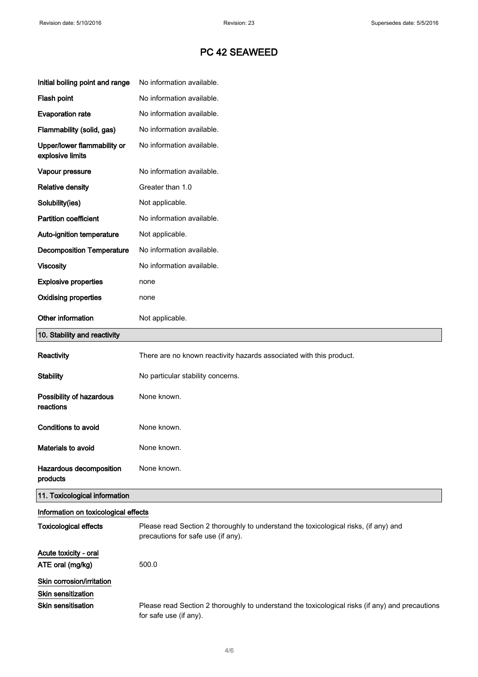$\hat{\boldsymbol{\beta}}$ 

# PC 42 SEAWEED

| Flash point                                                                  | No information available.                                                                                                  |
|------------------------------------------------------------------------------|----------------------------------------------------------------------------------------------------------------------------|
| <b>Evaporation rate</b>                                                      | No information available.                                                                                                  |
| Flammability (solid, gas)                                                    | No information available.                                                                                                  |
| Upper/lower flammability or<br>explosive limits                              | No information available.                                                                                                  |
| Vapour pressure                                                              | No information available.                                                                                                  |
| <b>Relative density</b>                                                      | Greater than 1.0                                                                                                           |
| Solubility(ies)                                                              | Not applicable.                                                                                                            |
| <b>Partition coefficient</b>                                                 | No information available.                                                                                                  |
| Auto-ignition temperature                                                    | Not applicable.                                                                                                            |
| <b>Decomposition Temperature</b>                                             | No information available.                                                                                                  |
| <b>Viscosity</b>                                                             | No information available.                                                                                                  |
| <b>Explosive properties</b>                                                  | none                                                                                                                       |
| <b>Oxidising properties</b>                                                  | none                                                                                                                       |
| Other information                                                            | Not applicable.                                                                                                            |
| 10. Stability and reactivity                                                 |                                                                                                                            |
| Reactivity                                                                   | There are no known reactivity hazards associated with this product.                                                        |
| <b>Stability</b>                                                             | No particular stability concerns.                                                                                          |
| Possibility of hazardous<br>reactions                                        | None known.                                                                                                                |
| <b>Conditions to avoid</b>                                                   | None known.                                                                                                                |
| Materials to avoid                                                           | None known.                                                                                                                |
| Hazardous decomposition<br>products                                          | None known.                                                                                                                |
| 11. Toxicological information                                                |                                                                                                                            |
| Information on toxicological effects                                         |                                                                                                                            |
| <b>Toxicological effects</b>                                                 | Please read Section 2 thoroughly to understand the toxicological risks, (if any) and<br>precautions for safe use (if any). |
| Acute toxicity - oral                                                        |                                                                                                                            |
| ATE oral (mg/kg)                                                             | 500.0                                                                                                                      |
| Skin corrosion/irritation<br>Skin sensitization<br><b>Skin sensitisation</b> | Please read Section 2 thoroughly to understand the toxicological risks (if any) and precautions<br>for safe use (if any).  |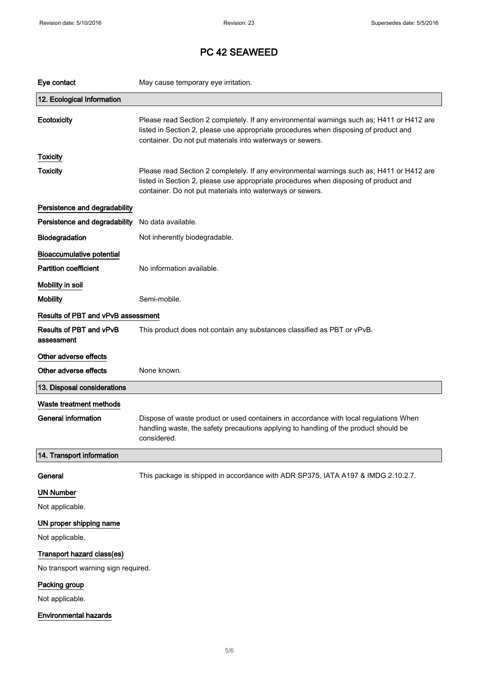# PC 42 SEAWEED

| Eye contact                               | May cause temporary eye irritation.                                                                                                                                                                                                            |
|-------------------------------------------|------------------------------------------------------------------------------------------------------------------------------------------------------------------------------------------------------------------------------------------------|
| 12. Ecological Information                |                                                                                                                                                                                                                                                |
| Ecotoxicity                               | Please read Section 2 completely. If any environmental warnings such as; H411 or H412 are<br>listed in Section 2, please use appropriate procedures when disposing of product and<br>container. Do not put materials into waterways or sewers. |
| <b>Toxicity</b>                           |                                                                                                                                                                                                                                                |
| <b>Toxicity</b>                           | Please read Section 2 completely. If any environmental warnings such as; H411 or H412 are<br>listed in Section 2, please use appropriate procedures when disposing of product and<br>container. Do not put materials into waterways or sewers. |
| Persistence and degradability             |                                                                                                                                                                                                                                                |
| Persistence and degradability             | No data available.                                                                                                                                                                                                                             |
| Biodegradation                            | Not inherently biodegradable.                                                                                                                                                                                                                  |
| <b>Bioaccumulative potential</b>          |                                                                                                                                                                                                                                                |
| <b>Partition coefficient</b>              | No information available.                                                                                                                                                                                                                      |
| Mobility in soil                          |                                                                                                                                                                                                                                                |
| <b>Mobility</b>                           | Semi-mobile.                                                                                                                                                                                                                                   |
| <b>Results of PBT and vPvB assessment</b> |                                                                                                                                                                                                                                                |
| Results of PBT and vPvB<br>assessment     | This product does not contain any substances classified as PBT or vPvB.                                                                                                                                                                        |
| Other adverse effects                     |                                                                                                                                                                                                                                                |
| Other adverse effects                     | None known.                                                                                                                                                                                                                                    |
| 13. Disposal considerations               |                                                                                                                                                                                                                                                |
| Waste treatment methods                   |                                                                                                                                                                                                                                                |
| <b>General information</b>                | Dispose of waste product or used containers in accordance with local regulations When<br>handling waste, the safety precautions applying to handling of the product should be<br>considered.                                                   |
| 14. Transport information                 |                                                                                                                                                                                                                                                |
| General                                   | This package is shipped in accordance with ADR SP375, IATA A197 & IMDG 2.10.2.7.                                                                                                                                                               |
| <b>UN Number</b>                          |                                                                                                                                                                                                                                                |
| Not applicable.                           |                                                                                                                                                                                                                                                |
| UN proper shipping name                   |                                                                                                                                                                                                                                                |
| Not applicable.                           |                                                                                                                                                                                                                                                |
| Transport hazard class(es)                |                                                                                                                                                                                                                                                |
| No transport warning sign required.       |                                                                                                                                                                                                                                                |
| Packing group                             |                                                                                                                                                                                                                                                |
| Not applicable.                           |                                                                                                                                                                                                                                                |
| <b>Environmental hazards</b>              |                                                                                                                                                                                                                                                |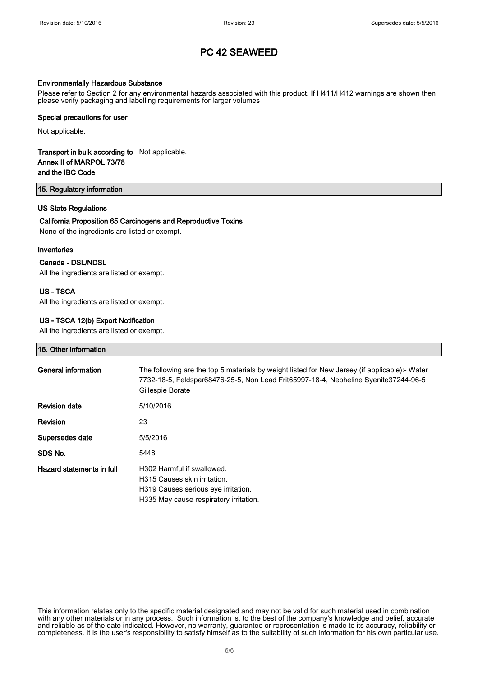# PC 42 SEAWEED

#### Environmentally Hazardous Substance

Please refer to Section 2 for any environmental hazards associated with this product. If H411/H412 warnings are shown then please verify packaging and labelling requirements for larger volumes

#### Special precautions for user

Not applicable.

## Transport in bulk according to Not applicable. Annex II of MARPOL 73/78 and the IBC Code

15. Regulatory information

### US State Regulations

# California Proposition 65 Carcinogens and Reproductive Toxins

None of the ingredients are listed or exempt.

### Inventories

### Canada - DSL/NDSL

All the ingredients are listed or exempt.

## US - TSCA

All the ingredients are listed or exempt.

## US - TSCA 12(b) Export Notification

All the ingredients are listed or exempt.

#### 16. Other information

| General information       | The following are the top 5 materials by weight listed for New Jersey (if applicable):- Water<br>7732-18-5, Feldspar68476-25-5, Non Lead Frit65997-18-4, Nepheline Syenite37244-96-5<br>Gillespie Borate |
|---------------------------|----------------------------------------------------------------------------------------------------------------------------------------------------------------------------------------------------------|
| <b>Revision date</b>      | 5/10/2016                                                                                                                                                                                                |
| <b>Revision</b>           | 23                                                                                                                                                                                                       |
| Supersedes date           | 5/5/2016                                                                                                                                                                                                 |
| SDS No.                   | 5448                                                                                                                                                                                                     |
| Hazard statements in full | H302 Harmful if swallowed.<br>H315 Causes skin irritation.<br>H319 Causes serious eye irritation.<br>H335 May cause respiratory irritation.                                                              |

This information relates only to the specific material designated and may not be valid for such material used in combination with any other materials or in any process. Such information is, to the best of the company's knowledge and belief, accurate and reliable as of the date indicated. However, no warranty, guarantee or representation is made to its accuracy, reliability or completeness. It is the user's responsibility to satisfy himself as to the suitability of such information for his own particular use.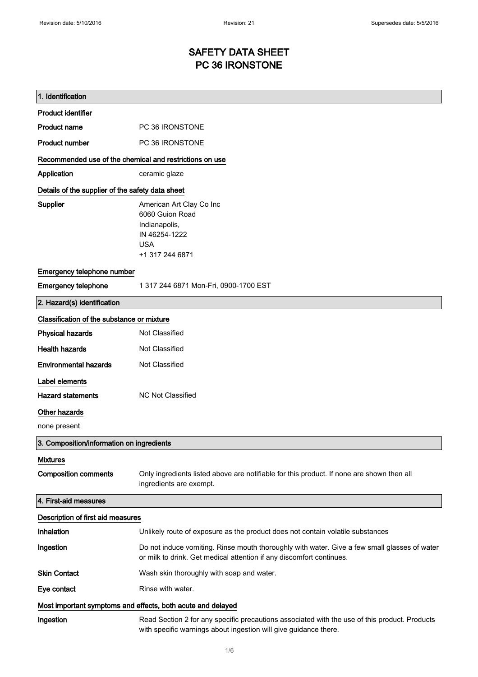# SAFETY DATA SHEET PC 36 IRONSTONE

| 1. Identification                                           |                                                                                                                                                                      |
|-------------------------------------------------------------|----------------------------------------------------------------------------------------------------------------------------------------------------------------------|
| <b>Product identifier</b>                                   |                                                                                                                                                                      |
| <b>Product name</b>                                         | PC 36 IRONSTONE                                                                                                                                                      |
| <b>Product number</b>                                       | PC 36 IRONSTONE                                                                                                                                                      |
| Recommended use of the chemical and restrictions on use     |                                                                                                                                                                      |
| Application                                                 | ceramic glaze                                                                                                                                                        |
| Details of the supplier of the safety data sheet            |                                                                                                                                                                      |
| Supplier                                                    | American Art Clay Co Inc<br>6060 Guion Road<br>Indianapolis,<br>IN 46254-1222<br><b>USA</b><br>+1 317 244 6871                                                       |
| Emergency telephone number                                  |                                                                                                                                                                      |
| <b>Emergency telephone</b>                                  | 1 317 244 6871 Mon-Fri, 0900-1700 EST                                                                                                                                |
| 2. Hazard(s) identification                                 |                                                                                                                                                                      |
| Classification of the substance or mixture                  |                                                                                                                                                                      |
| <b>Physical hazards</b>                                     | Not Classified                                                                                                                                                       |
| <b>Health hazards</b>                                       | Not Classified                                                                                                                                                       |
| <b>Environmental hazards</b>                                | <b>Not Classified</b>                                                                                                                                                |
| Label elements                                              |                                                                                                                                                                      |
| <b>Hazard statements</b>                                    | <b>NC Not Classified</b>                                                                                                                                             |
| <b>Other hazards</b>                                        |                                                                                                                                                                      |
| none present                                                |                                                                                                                                                                      |
| 3. Composition/information on ingredients                   |                                                                                                                                                                      |
| <b>Mixtures</b>                                             |                                                                                                                                                                      |
| <b>Composition comments</b>                                 | Only ingredients listed above are notifiable for this product. If none are shown then all<br>ingredients are exempt.                                                 |
| 4. First-aid measures                                       |                                                                                                                                                                      |
| Description of first aid measures                           |                                                                                                                                                                      |
| Inhalation                                                  | Unlikely route of exposure as the product does not contain volatile substances                                                                                       |
| Ingestion                                                   | Do not induce vomiting. Rinse mouth thoroughly with water. Give a few small glasses of water<br>or milk to drink. Get medical attention if any discomfort continues. |
| <b>Skin Contact</b>                                         | Wash skin thoroughly with soap and water.                                                                                                                            |
| Eye contact                                                 | Rinse with water.                                                                                                                                                    |
| Most important symptoms and effects, both acute and delayed |                                                                                                                                                                      |
| Ingestion                                                   | Read Section 2 for any specific precautions associated with the use of this product. Products<br>with specific warnings about ingestion will give guidance there.    |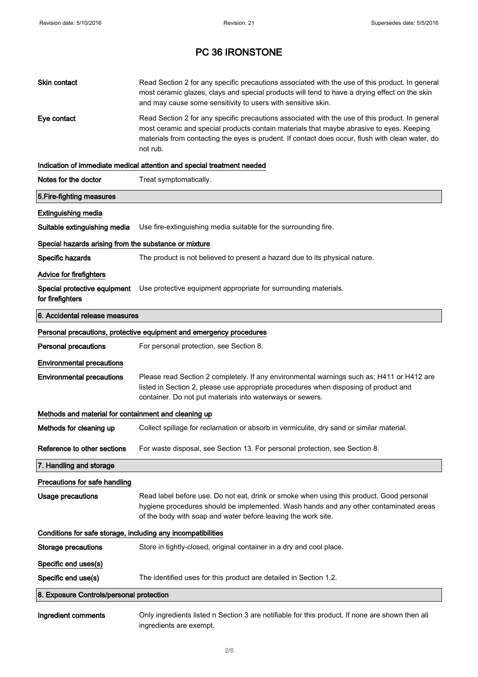| Skin contact                                                        | Read Section 2 for any specific precautions associated with the use of this product. In general<br>most ceramic glazes, clays and special products will tend to have a drying effect on the skin<br>and may cause some sensitivity to users with sensitive skin.                                            |  |
|---------------------------------------------------------------------|-------------------------------------------------------------------------------------------------------------------------------------------------------------------------------------------------------------------------------------------------------------------------------------------------------------|--|
| Eye contact                                                         | Read Section 2 for any specific precautions associated with the use of this product. In general<br>most ceramic and special products contain materials that maybe abrasive to eyes. Keeping<br>materials from contacting the eyes is prudent. If contact does occur, flush with clean water, do<br>not rub. |  |
|                                                                     | Indication of immediate medical attention and special treatment needed                                                                                                                                                                                                                                      |  |
| Notes for the doctor                                                | Treat symptomatically.                                                                                                                                                                                                                                                                                      |  |
| 5. Fire-fighting measures                                           |                                                                                                                                                                                                                                                                                                             |  |
| <b>Extinguishing media</b>                                          |                                                                                                                                                                                                                                                                                                             |  |
| Suitable extinguishing media                                        | Use fire-extinguishing media suitable for the surrounding fire.                                                                                                                                                                                                                                             |  |
| Special hazards arising from the substance or mixture               |                                                                                                                                                                                                                                                                                                             |  |
| Specific hazards                                                    | The product is not believed to present a hazard due to its physical nature.                                                                                                                                                                                                                                 |  |
| <b>Advice for firefighters</b>                                      |                                                                                                                                                                                                                                                                                                             |  |
| Special protective equipment<br>for firefighters                    | Use protective equipment appropriate for surrounding materials.                                                                                                                                                                                                                                             |  |
| 6. Accidental release measures                                      |                                                                                                                                                                                                                                                                                                             |  |
| Personal precautions, protective equipment and emergency procedures |                                                                                                                                                                                                                                                                                                             |  |
| <b>Personal precautions</b>                                         | For personal protection, see Section 8.                                                                                                                                                                                                                                                                     |  |
| <b>Environmental precautions</b>                                    |                                                                                                                                                                                                                                                                                                             |  |
| <b>Environmental precautions</b>                                    | Please read Section 2 completely. If any environmental warnings such as; H411 or H412 are<br>listed in Section 2, please use appropriate procedures when disposing of product and<br>container. Do not put materials into waterways or sewers.                                                              |  |
| Methods and material for containment and cleaning up                |                                                                                                                                                                                                                                                                                                             |  |
| Methods for cleaning up                                             | Collect spillage for reclamation or absorb in vermiculite, dry sand or similar material.                                                                                                                                                                                                                    |  |
| Reference to other sections                                         | For waste disposal, see Section 13. For personal protection, see Section 8.                                                                                                                                                                                                                                 |  |
| 7. Handling and storage                                             |                                                                                                                                                                                                                                                                                                             |  |
| Precautions for safe handling                                       |                                                                                                                                                                                                                                                                                                             |  |
| <b>Usage precautions</b>                                            | Read label before use. Do not eat, drink or smoke when using this product. Good personal<br>hygiene procedures should be implemented. Wash hands and any other contaminated areas<br>of the body with soap and water before leaving the work site.                                                          |  |
| Conditions for safe storage, including any incompatibilities        |                                                                                                                                                                                                                                                                                                             |  |
| <b>Storage precautions</b>                                          | Store in tightly-closed, original container in a dry and cool place.                                                                                                                                                                                                                                        |  |
| Specific end uses(s)                                                |                                                                                                                                                                                                                                                                                                             |  |
| Specific end use(s)                                                 | The identified uses for this product are detailed in Section 1.2.                                                                                                                                                                                                                                           |  |
| 8. Exposure Controls/personal protection                            |                                                                                                                                                                                                                                                                                                             |  |
| Ingredient comments                                                 | Only ingredients listed n Section 3 are notifiable for this product. If none are shown then all<br>ingredients are exempt.                                                                                                                                                                                  |  |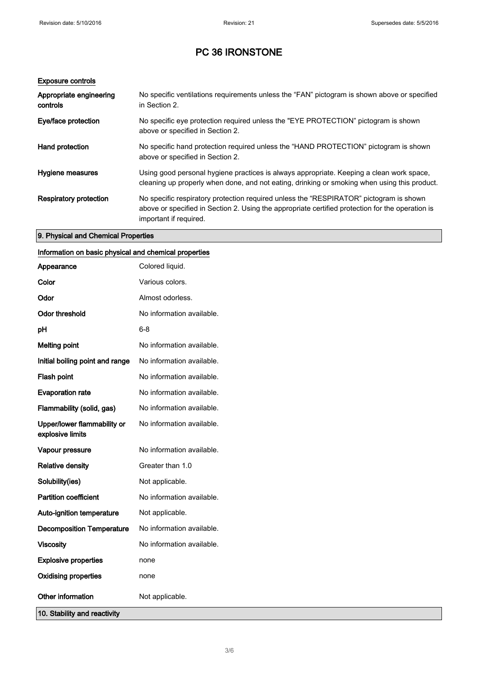## Exposure controls

| Appropriate engineering<br>controls | No specific ventilations requirements unless the "FAN" pictogram is shown above or specified<br>in Section 2.                                                                                                        |
|-------------------------------------|----------------------------------------------------------------------------------------------------------------------------------------------------------------------------------------------------------------------|
| Eye/face protection                 | No specific eye protection required unless the "EYE PROTECTION" pictogram is shown<br>above or specified in Section 2.                                                                                               |
| Hand protection                     | No specific hand protection required unless the "HAND PROTECTION" pictogram is shown<br>above or specified in Section 2.                                                                                             |
| Hygiene measures                    | Using good personal hygiene practices is always appropriate. Keeping a clean work space,<br>cleaning up properly when done, and not eating, drinking or smoking when using this product.                             |
| Respiratory protection              | No specific respiratory protection required unless the "RESPIRATOR" pictogram is shown<br>above or specified in Section 2. Using the appropriate certified protection for the operation is<br>important if required. |

# 9. Physical and Chemical Properties

# Information on basic physical and chemical properties

| Appearance                                      | Colored liquid.           |
|-------------------------------------------------|---------------------------|
| Color                                           | Various colors.           |
| Odor                                            | Almost odorless.          |
| <b>Odor threshold</b>                           | No information available. |
| рH                                              | $6 - 8$                   |
| <b>Melting point</b>                            | No information available. |
| Initial boiling point and range                 | No information available. |
| Flash point                                     | No information available. |
| <b>Evaporation rate</b>                         | No information available. |
| Flammability (solid, gas)                       | No information available. |
| Upper/lower flammability or<br>explosive limits | No information available. |
| Vapour pressure                                 | No information available. |
| <b>Relative density</b>                         | Greater than 1.0          |
| Solubility(ies)                                 | Not applicable.           |
| <b>Partition coefficient</b>                    | No information available. |
| Auto-ignition temperature                       | Not applicable.           |
| <b>Decomposition Temperature</b>                | No information available. |
| <b>Viscosity</b>                                | No information available. |
| <b>Explosive properties</b>                     | none                      |
| <b>Oxidising properties</b>                     | none                      |
| Other information                               | Not applicable.           |
| 10. Stability and reactivity                    |                           |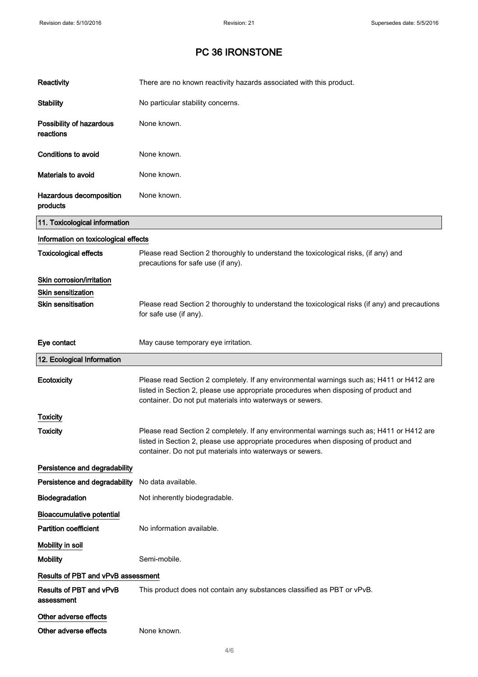| Reactivity                            | There are no known reactivity hazards associated with this product.                                                                                                                                                                            |
|---------------------------------------|------------------------------------------------------------------------------------------------------------------------------------------------------------------------------------------------------------------------------------------------|
| <b>Stability</b>                      | No particular stability concerns.                                                                                                                                                                                                              |
| Possibility of hazardous<br>reactions | None known.                                                                                                                                                                                                                                    |
| <b>Conditions to avoid</b>            | None known.                                                                                                                                                                                                                                    |
| Materials to avoid                    | None known.                                                                                                                                                                                                                                    |
| Hazardous decomposition<br>products   | None known.                                                                                                                                                                                                                                    |
| 11. Toxicological information         |                                                                                                                                                                                                                                                |
| Information on toxicological effects  |                                                                                                                                                                                                                                                |
| <b>Toxicological effects</b>          | Please read Section 2 thoroughly to understand the toxicological risks, (if any) and<br>precautions for safe use (if any).                                                                                                                     |
| Skin corrosion/irritation             |                                                                                                                                                                                                                                                |
| Skin sensitization                    |                                                                                                                                                                                                                                                |
| <b>Skin sensitisation</b>             | Please read Section 2 thoroughly to understand the toxicological risks (if any) and precautions<br>for safe use (if any).                                                                                                                      |
| Eye contact                           | May cause temporary eye irritation.                                                                                                                                                                                                            |
| 12. Ecological Information            |                                                                                                                                                                                                                                                |
| Ecotoxicity                           | Please read Section 2 completely. If any environmental warnings such as; H411 or H412 are<br>listed in Section 2, please use appropriate procedures when disposing of product and<br>container. Do not put materials into waterways or sewers. |
| <b>Toxicity</b>                       |                                                                                                                                                                                                                                                |
| <b>Toxicity</b>                       | Please read Section 2 completely. If any environmental warnings such as; H411 or H412 are<br>listed in Section 2, please use appropriate procedures when disposing of product and<br>container. Do not put materials into waterways or sewers. |
| Persistence and degradability         |                                                                                                                                                                                                                                                |
| Persistence and degradability         | No data available.                                                                                                                                                                                                                             |
| Biodegradation                        | Not inherently biodegradable.                                                                                                                                                                                                                  |
| <b>Bioaccumulative potential</b>      |                                                                                                                                                                                                                                                |
| <b>Partition coefficient</b>          | No information available.                                                                                                                                                                                                                      |
| Mobility in soil                      |                                                                                                                                                                                                                                                |
| <b>Mobility</b>                       | Semi-mobile.                                                                                                                                                                                                                                   |
| Results of PBT and vPvB assessment    |                                                                                                                                                                                                                                                |
| Results of PBT and vPvB<br>assessment | This product does not contain any substances classified as PBT or vPvB.                                                                                                                                                                        |
| Other adverse effects                 |                                                                                                                                                                                                                                                |
| Other adverse effects                 | None known.                                                                                                                                                                                                                                    |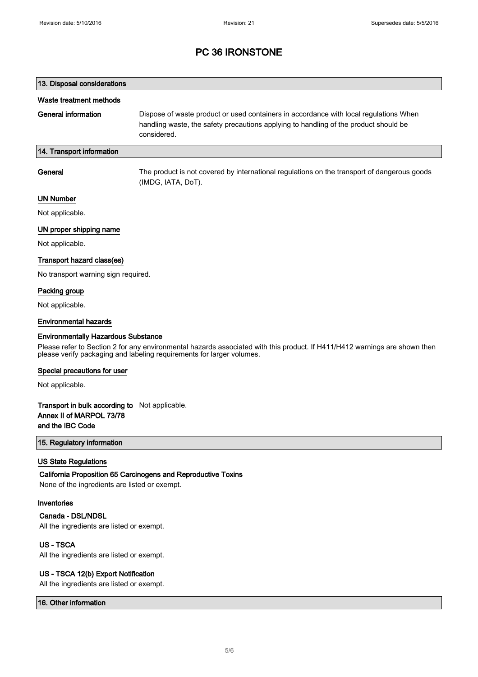| 13. Disposal considerations |                                                                                                                                                                                              |
|-----------------------------|----------------------------------------------------------------------------------------------------------------------------------------------------------------------------------------------|
| Waste treatment methods     |                                                                                                                                                                                              |
| General information         | Dispose of waste product or used containers in accordance with local regulations When<br>handling waste, the safety precautions applying to handling of the product should be<br>considered. |
| 14. Transport information   |                                                                                                                                                                                              |
|                             |                                                                                                                                                                                              |

General The product is not covered by international regulations on the transport of dangerous goods (IMDG, IATA, DoT).

### UN Number

Not applicable.

### UN proper shipping name

Not applicable.

### Transport hazard class(es)

No transport warning sign required.

### Packing group

Not applicable.

## Environmental hazards

### Environmentally Hazardous Substance

Please refer to Section 2 for any environmental hazards associated with this product. If H411/H412 warnings are shown then please verify packaging and labeling requirements for larger volumes.

#### Special precautions for user

Not applicable.

## Transport in bulk according to Not applicable. Annex II of MARPOL 73/78 and the IBC Code

#### 15. Regulatory information

#### US State Regulations

California Proposition 65 Carcinogens and Reproductive Toxins None of the ingredients are listed or exempt.

# Inventories

Canada - DSL/NDSL All the ingredients are listed or exempt.

# US - TSCA

All the ingredients are listed or exempt.

# US - TSCA 12(b) Export Notification

All the ingredients are listed or exempt.

# 16. Other information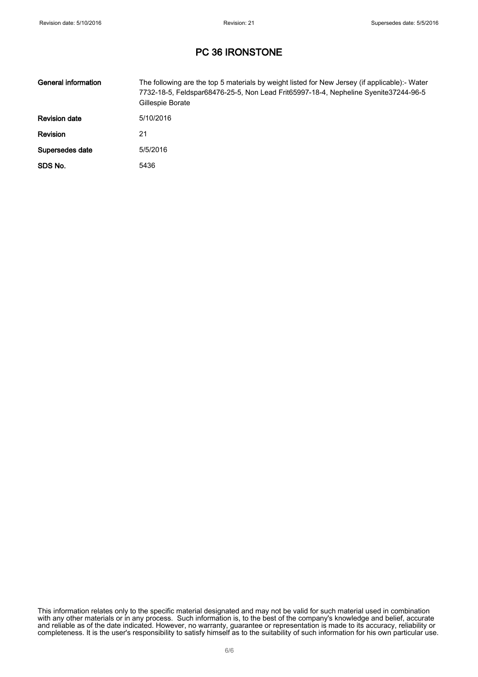| General information  | The following are the top 5 materials by weight listed for New Jersey (if applicable):- Water<br>7732-18-5, Feldspar68476-25-5, Non Lead Frit65997-18-4, Nepheline Syenite37244-96-5<br>Gillespie Borate |
|----------------------|----------------------------------------------------------------------------------------------------------------------------------------------------------------------------------------------------------|
| <b>Revision date</b> | 5/10/2016                                                                                                                                                                                                |
| <b>Revision</b>      | 21                                                                                                                                                                                                       |
| Supersedes date      | 5/5/2016                                                                                                                                                                                                 |
| SDS No.              | 5436                                                                                                                                                                                                     |

This information relates only to the specific material designated and may not be valid for such material used in combination with any other materials or in any process. Such information is, to the best of the company's knowledge and belief, accurate and reliable as of the date indicated. However, no warranty, guarantee or representation is made to its accuracy, reliability or completeness. It is the user's responsibility to satisfy himself as to the suitability of such information for his own particular use.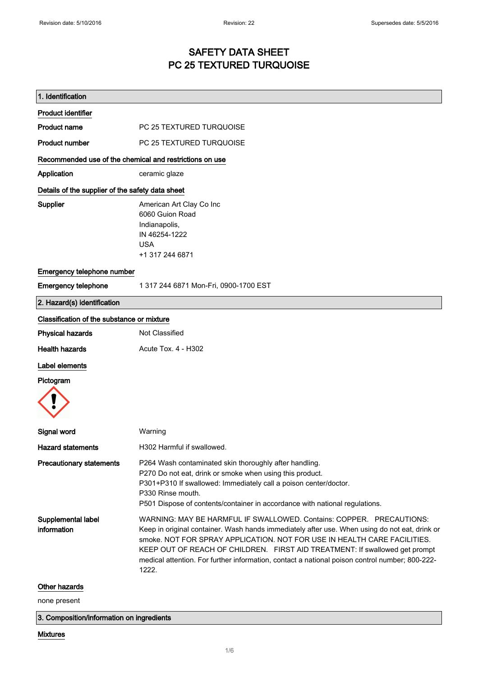# SAFETY DATA SHEET PC 25 TEXTURED TURQUOISE

| 1. Identification                                       |                                                                                                                                                                                                                                                                                                                                                                                                                                             |
|---------------------------------------------------------|---------------------------------------------------------------------------------------------------------------------------------------------------------------------------------------------------------------------------------------------------------------------------------------------------------------------------------------------------------------------------------------------------------------------------------------------|
| <b>Product identifier</b>                               |                                                                                                                                                                                                                                                                                                                                                                                                                                             |
| <b>Product name</b>                                     | PC 25 TEXTURED TURQUOISE                                                                                                                                                                                                                                                                                                                                                                                                                    |
| <b>Product number</b>                                   | PC 25 TEXTURED TURQUOISE                                                                                                                                                                                                                                                                                                                                                                                                                    |
| Recommended use of the chemical and restrictions on use |                                                                                                                                                                                                                                                                                                                                                                                                                                             |
| Application                                             | ceramic glaze                                                                                                                                                                                                                                                                                                                                                                                                                               |
| Details of the supplier of the safety data sheet        |                                                                                                                                                                                                                                                                                                                                                                                                                                             |
| Supplier                                                | American Art Clay Co Inc<br>6060 Guion Road<br>Indianapolis,<br>IN 46254-1222<br><b>USA</b><br>+1 317 244 6871                                                                                                                                                                                                                                                                                                                              |
| Emergency telephone number                              |                                                                                                                                                                                                                                                                                                                                                                                                                                             |
| <b>Emergency telephone</b>                              | 1 317 244 6871 Mon-Fri, 0900-1700 EST                                                                                                                                                                                                                                                                                                                                                                                                       |
| 2. Hazard(s) identification                             |                                                                                                                                                                                                                                                                                                                                                                                                                                             |
| Classification of the substance or mixture              |                                                                                                                                                                                                                                                                                                                                                                                                                                             |
| <b>Physical hazards</b>                                 | Not Classified                                                                                                                                                                                                                                                                                                                                                                                                                              |
| <b>Health hazards</b>                                   | Acute Tox. 4 - H302                                                                                                                                                                                                                                                                                                                                                                                                                         |
| Label elements                                          |                                                                                                                                                                                                                                                                                                                                                                                                                                             |
| Pictogram                                               |                                                                                                                                                                                                                                                                                                                                                                                                                                             |
| Signal word                                             | Warning                                                                                                                                                                                                                                                                                                                                                                                                                                     |
| <b>Hazard statements</b>                                | H302 Harmful if swallowed                                                                                                                                                                                                                                                                                                                                                                                                                   |
| <b>Precautionary statements</b>                         | P264 Wash contaminated skin thoroughly after handling.<br>P270 Do not eat, drink or smoke when using this product.<br>P301+P310 If swallowed: Immediately call a poison center/doctor.<br>P330 Rinse mouth.<br>P501 Dispose of contents/container in accordance with national regulations.                                                                                                                                                  |
| Supplemental label<br>information                       | WARNING: MAY BE HARMFUL IF SWALLOWED, Contains: COPPER. PRECAUTIONS:<br>Keep in original container. Wash hands immediately after use. When using do not eat, drink or<br>smoke. NOT FOR SPRAY APPLICATION. NOT FOR USE IN HEALTH CARE FACILITIES.<br>KEEP OUT OF REACH OF CHILDREN. FIRST AID TREATMENT: If swallowed get prompt<br>medical attention. For further information, contact a national poison control number; 800-222-<br>1222. |
| Other hazards                                           |                                                                                                                                                                                                                                                                                                                                                                                                                                             |
| none present                                            |                                                                                                                                                                                                                                                                                                                                                                                                                                             |

3. Composition/information on ingredients

### Mixtures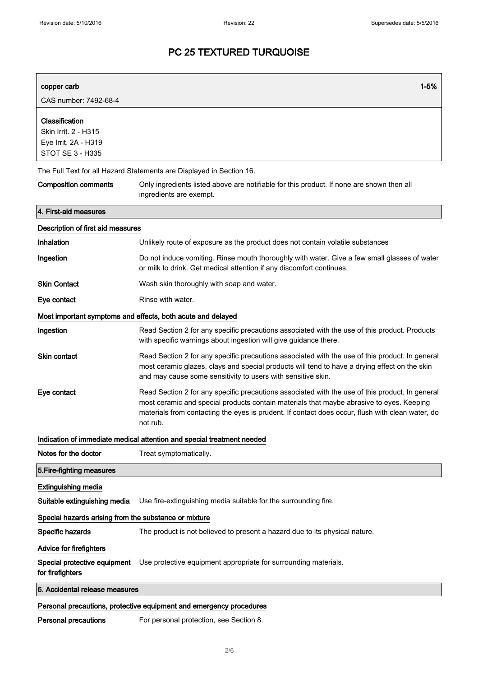| copper carb                                                                               | $1 - 5%$                                                                                                                                                                                                                                                                                                    |  |  |
|-------------------------------------------------------------------------------------------|-------------------------------------------------------------------------------------------------------------------------------------------------------------------------------------------------------------------------------------------------------------------------------------------------------------|--|--|
| CAS number: 7492-68-4                                                                     |                                                                                                                                                                                                                                                                                                             |  |  |
| Classification<br>Skin Irrit. 2 - H315<br>Eye Irrit. 2A - H319<br><b>STOT SE 3 - H335</b> |                                                                                                                                                                                                                                                                                                             |  |  |
|                                                                                           | The Full Text for all Hazard Statements are Displayed in Section 16.                                                                                                                                                                                                                                        |  |  |
| <b>Composition comments</b>                                                               | Only ingredients listed above are notifiable for this product. If none are shown then all<br>ingredients are exempt.                                                                                                                                                                                        |  |  |
| 4. First-aid measures                                                                     |                                                                                                                                                                                                                                                                                                             |  |  |
| Description of first aid measures                                                         |                                                                                                                                                                                                                                                                                                             |  |  |
| Inhalation                                                                                | Unlikely route of exposure as the product does not contain volatile substances                                                                                                                                                                                                                              |  |  |
| Ingestion                                                                                 | Do not induce vomiting. Rinse mouth thoroughly with water. Give a few small glasses of water<br>or milk to drink. Get medical attention if any discomfort continues.                                                                                                                                        |  |  |
| <b>Skin Contact</b>                                                                       | Wash skin thoroughly with soap and water.                                                                                                                                                                                                                                                                   |  |  |
| Eye contact                                                                               | Rinse with water.                                                                                                                                                                                                                                                                                           |  |  |
|                                                                                           | Most important symptoms and effects, both acute and delayed                                                                                                                                                                                                                                                 |  |  |
| Ingestion                                                                                 | Read Section 2 for any specific precautions associated with the use of this product. Products<br>with specific warnings about ingestion will give guidance there.                                                                                                                                           |  |  |
| <b>Skin contact</b>                                                                       | Read Section 2 for any specific precautions associated with the use of this product. In general<br>most ceramic glazes, clays and special products will tend to have a drying effect on the skin<br>and may cause some sensitivity to users with sensitive skin.                                            |  |  |
| Eye contact                                                                               | Read Section 2 for any specific precautions associated with the use of this product. In general<br>most ceramic and special products contain materials that maybe abrasive to eyes. Keeping<br>materials from contacting the eyes is prudent. If contact does occur, flush with clean water, do<br>not rub. |  |  |
|                                                                                           | Indication of immediate medical attention and special treatment needed                                                                                                                                                                                                                                      |  |  |
| Notes for the doctor                                                                      | Treat symptomatically.                                                                                                                                                                                                                                                                                      |  |  |
| 5. Fire-fighting measures                                                                 |                                                                                                                                                                                                                                                                                                             |  |  |
| <b>Extinguishing media</b>                                                                |                                                                                                                                                                                                                                                                                                             |  |  |
| Suitable extinguishing media                                                              | Use fire-extinguishing media suitable for the surrounding fire.                                                                                                                                                                                                                                             |  |  |
| Special hazards arising from the substance or mixture                                     |                                                                                                                                                                                                                                                                                                             |  |  |
| Specific hazards                                                                          | The product is not believed to present a hazard due to its physical nature.                                                                                                                                                                                                                                 |  |  |
| Advice for firefighters                                                                   |                                                                                                                                                                                                                                                                                                             |  |  |
| Special protective equipment<br>for firefighters                                          | Use protective equipment appropriate for surrounding materials.                                                                                                                                                                                                                                             |  |  |
| 6. Accidental release measures                                                            |                                                                                                                                                                                                                                                                                                             |  |  |
|                                                                                           | Personal precautions, protective equipment and emergency procedures                                                                                                                                                                                                                                         |  |  |

Personal precautions For personal protection, see Section 8.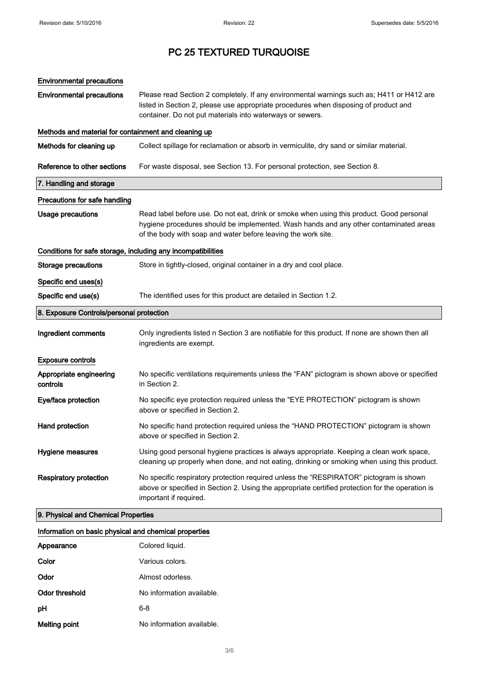| <b>Environmental precautions</b>                             |                                                                                                                                                                                                                                                    |  |
|--------------------------------------------------------------|----------------------------------------------------------------------------------------------------------------------------------------------------------------------------------------------------------------------------------------------------|--|
| <b>Environmental precautions</b>                             | Please read Section 2 completely. If any environmental warnings such as; H411 or H412 are<br>listed in Section 2, please use appropriate procedures when disposing of product and<br>container. Do not put materials into waterways or sewers.     |  |
| Methods and material for containment and cleaning up         |                                                                                                                                                                                                                                                    |  |
| Methods for cleaning up                                      | Collect spillage for reclamation or absorb in vermiculite, dry sand or similar material.                                                                                                                                                           |  |
| Reference to other sections                                  | For waste disposal, see Section 13. For personal protection, see Section 8.                                                                                                                                                                        |  |
| 7. Handling and storage                                      |                                                                                                                                                                                                                                                    |  |
| Precautions for safe handling                                |                                                                                                                                                                                                                                                    |  |
| <b>Usage precautions</b>                                     | Read label before use. Do not eat, drink or smoke when using this product. Good personal<br>hygiene procedures should be implemented. Wash hands and any other contaminated areas<br>of the body with soap and water before leaving the work site. |  |
| Conditions for safe storage, including any incompatibilities |                                                                                                                                                                                                                                                    |  |
| <b>Storage precautions</b>                                   | Store in tightly-closed, original container in a dry and cool place.                                                                                                                                                                               |  |
| Specific end uses(s)                                         |                                                                                                                                                                                                                                                    |  |
| Specific end use(s)                                          | The identified uses for this product are detailed in Section 1.2.                                                                                                                                                                                  |  |
| 8. Exposure Controls/personal protection                     |                                                                                                                                                                                                                                                    |  |
| Ingredient comments                                          | Only ingredients listed n Section 3 are notifiable for this product. If none are shown then all<br>ingredients are exempt.                                                                                                                         |  |
| <b>Exposure controls</b>                                     |                                                                                                                                                                                                                                                    |  |
| Appropriate engineering<br>controls                          | No specific ventilations requirements unless the "FAN" pictogram is shown above or specified<br>in Section 2.                                                                                                                                      |  |
| Eye/face protection                                          | No specific eye protection required unless the "EYE PROTECTION" pictogram is shown<br>above or specified in Section 2.                                                                                                                             |  |
| Hand protection                                              | No specific hand protection required unless the "HAND PROTECTION" pictogram is shown<br>above or specified in Section 2.                                                                                                                           |  |
| Hygiene measures                                             | Using good personal hygiene practices is always appropriate. Keeping a clean work space,<br>cleaning up properly when done, and not eating, drinking or smoking when using this product.                                                           |  |
| <b>Respiratory protection</b>                                | No specific respiratory protection required unless the "RESPIRATOR" pictogram is shown<br>above or specified in Section 2. Using the appropriate certified protection for the operation is<br>important if required.                               |  |
|                                                              |                                                                                                                                                                                                                                                    |  |

# Information on basic physical and chemical properties

| Appearance     | Colored liquid.           |
|----------------|---------------------------|
| Color          | Various colors.           |
| Odor           | Almost odorless.          |
| Odor threshold | No information available. |
| рH             | 6-8                       |
| Melting point  | No information available. |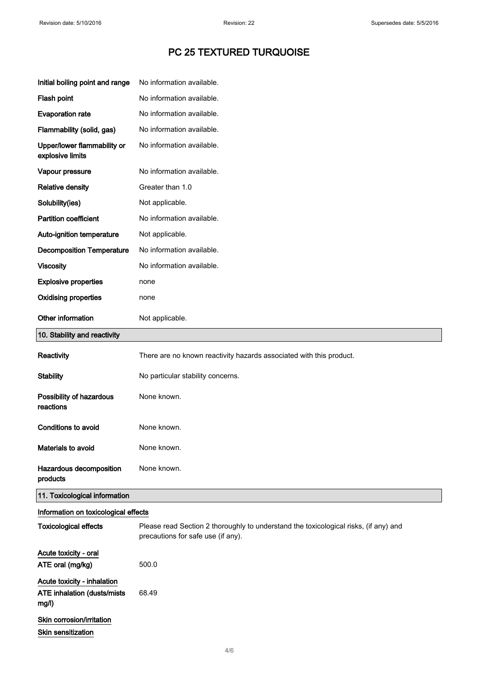| Initial boiling point and range                                            | No information available.                                                                                                  |
|----------------------------------------------------------------------------|----------------------------------------------------------------------------------------------------------------------------|
| Flash point                                                                | No information available.                                                                                                  |
| <b>Evaporation rate</b>                                                    | No information available.                                                                                                  |
| Flammability (solid, gas)                                                  | No information available.                                                                                                  |
| Upper/lower flammability or<br>explosive limits                            | No information available.                                                                                                  |
| Vapour pressure                                                            | No information available.                                                                                                  |
| <b>Relative density</b>                                                    | Greater than 1.0                                                                                                           |
| Solubility(ies)                                                            | Not applicable.                                                                                                            |
| <b>Partition coefficient</b>                                               | No information available.                                                                                                  |
| Auto-ignition temperature                                                  | Not applicable.                                                                                                            |
| <b>Decomposition Temperature</b>                                           | No information available.                                                                                                  |
| <b>Viscosity</b>                                                           | No information available.                                                                                                  |
| <b>Explosive properties</b>                                                | none                                                                                                                       |
| <b>Oxidising properties</b>                                                | none                                                                                                                       |
| Other information                                                          | Not applicable.                                                                                                            |
| 10. Stability and reactivity                                               |                                                                                                                            |
| Reactivity                                                                 | There are no known reactivity hazards associated with this product.                                                        |
| <b>Stability</b>                                                           | No particular stability concerns.                                                                                          |
| Possibility of hazardous<br>reactions                                      | None known.                                                                                                                |
| Conditions to avoid                                                        | None known.                                                                                                                |
| Materials to avoid                                                         | None known.                                                                                                                |
| Hazardous decomposition<br>products                                        | None known.                                                                                                                |
| 11. Toxicological information                                              |                                                                                                                            |
| Information on toxicological effects                                       |                                                                                                                            |
| <b>Toxicological effects</b>                                               | Please read Section 2 thoroughly to understand the toxicological risks, (if any) and<br>precautions for safe use (if any). |
| Acute toxicity - oral<br>ATE oral (mg/kg)                                  | 500.0                                                                                                                      |
| Acute toxicity - inhalation<br><b>ATE inhalation (dusts/mists</b><br>mg/l) | 68.49                                                                                                                      |
| Skin corrosion/irritation<br>Skin sensitization                            |                                                                                                                            |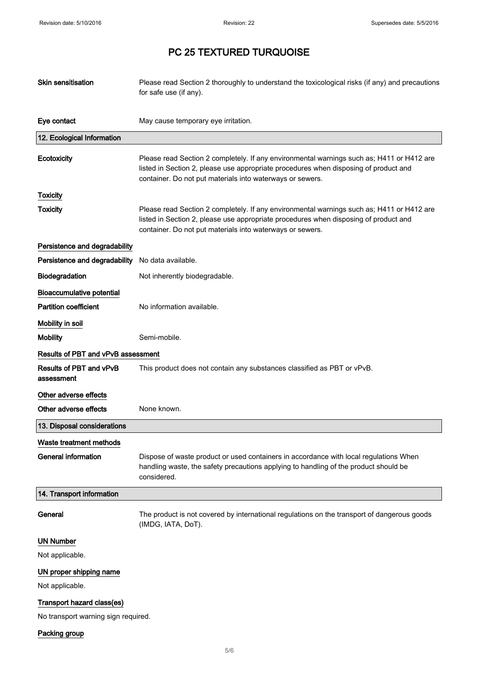| Skin sensitisation                    | Please read Section 2 thoroughly to understand the toxicological risks (if any) and precautions<br>for safe use (if any).                                                                                                                      |  |
|---------------------------------------|------------------------------------------------------------------------------------------------------------------------------------------------------------------------------------------------------------------------------------------------|--|
| Eye contact                           | May cause temporary eye irritation.                                                                                                                                                                                                            |  |
| 12. Ecological Information            |                                                                                                                                                                                                                                                |  |
| Ecotoxicity                           | Please read Section 2 completely. If any environmental warnings such as; H411 or H412 are<br>listed in Section 2, please use appropriate procedures when disposing of product and<br>container. Do not put materials into waterways or sewers. |  |
| <b>Toxicity</b>                       |                                                                                                                                                                                                                                                |  |
| <b>Toxicity</b>                       | Please read Section 2 completely. If any environmental warnings such as; H411 or H412 are<br>listed in Section 2, please use appropriate procedures when disposing of product and<br>container. Do not put materials into waterways or sewers. |  |
| Persistence and degradability         |                                                                                                                                                                                                                                                |  |
| Persistence and degradability         | No data available.                                                                                                                                                                                                                             |  |
| Biodegradation                        | Not inherently biodegradable.                                                                                                                                                                                                                  |  |
| <b>Bioaccumulative potential</b>      |                                                                                                                                                                                                                                                |  |
| <b>Partition coefficient</b>          | No information available.                                                                                                                                                                                                                      |  |
| Mobility in soil                      |                                                                                                                                                                                                                                                |  |
| <b>Mobility</b>                       | Semi-mobile.                                                                                                                                                                                                                                   |  |
| Results of PBT and vPvB assessment    |                                                                                                                                                                                                                                                |  |
| Results of PBT and vPvB<br>assessment | This product does not contain any substances classified as PBT or vPvB.                                                                                                                                                                        |  |
| Other adverse effects                 |                                                                                                                                                                                                                                                |  |
| Other adverse effects                 | None known.                                                                                                                                                                                                                                    |  |
| 13. Disposal considerations           |                                                                                                                                                                                                                                                |  |
| Waste treatment methods               |                                                                                                                                                                                                                                                |  |
| <b>General information</b>            | Dispose of waste product or used containers in accordance with local regulations When<br>handling waste, the safety precautions applying to handling of the product should be<br>considered.                                                   |  |
| 14. Transport information             |                                                                                                                                                                                                                                                |  |
| General                               | The product is not covered by international regulations on the transport of dangerous goods<br>(IMDG, IATA, DoT).                                                                                                                              |  |
| <b>UN Number</b>                      |                                                                                                                                                                                                                                                |  |
| Not applicable.                       |                                                                                                                                                                                                                                                |  |
| UN proper shipping name               |                                                                                                                                                                                                                                                |  |
| Not applicable.                       |                                                                                                                                                                                                                                                |  |
| Transport hazard class(es)            |                                                                                                                                                                                                                                                |  |
| No transport warning sign required.   |                                                                                                                                                                                                                                                |  |

## Packing group